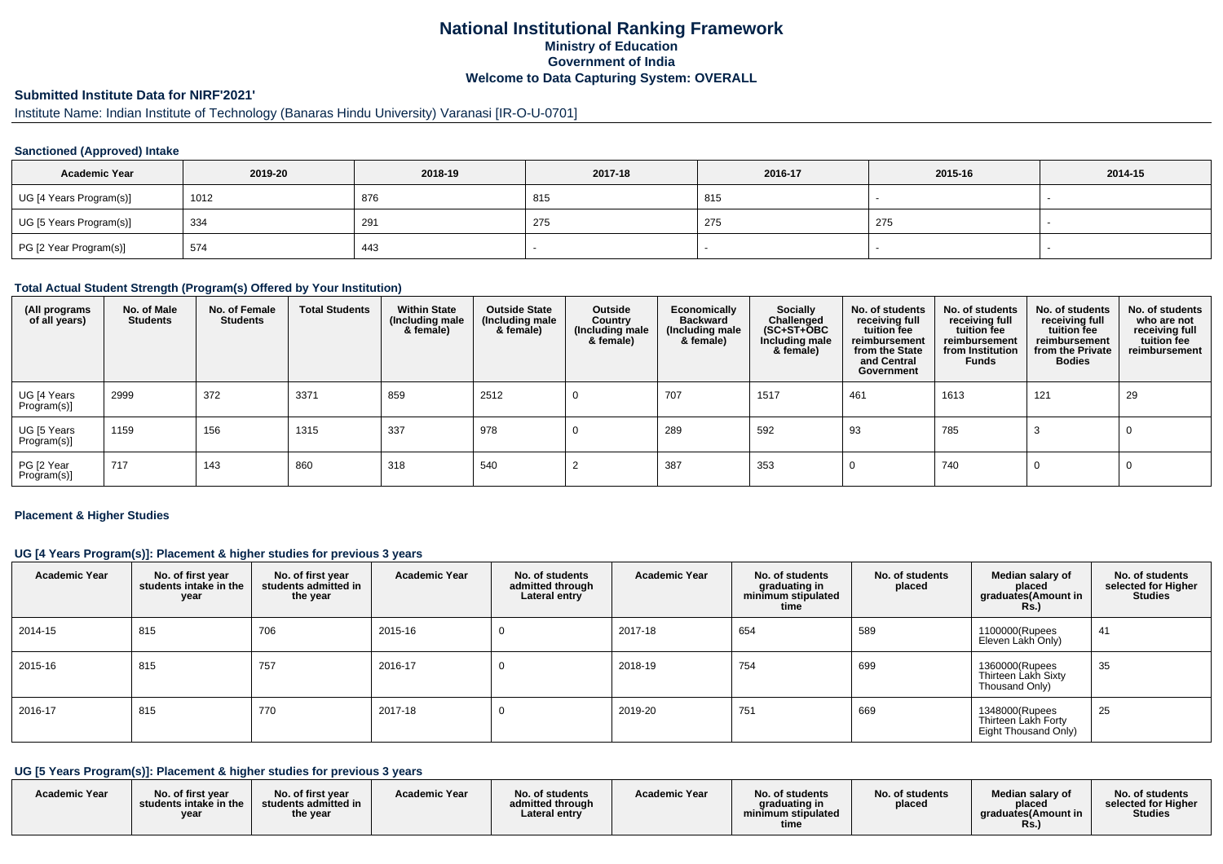### **National Institutional Ranking FrameworkMinistry of Education Government of IndiaWelcome to Data Capturing System: OVERALL**

# **Submitted Institute Data for NIRF'2021'**

# Institute Name: Indian Institute of Technology (Banaras Hindu University) Varanasi [IR-O-U-0701]

#### **Sanctioned (Approved) Intake**

| <b>Academic Year</b>    | 2019-20 | 2018-19 | 2017-18 | 2016-17 | 2015-16 | 2014-15 |
|-------------------------|---------|---------|---------|---------|---------|---------|
| UG [4 Years Program(s)] | 1012    | 876     | 815     | 815     |         |         |
| UG [5 Years Program(s)] | 334     | 291     | 275     | 275     | 275     |         |
| PG [2 Year Program(s)]  | 574     | 443     |         |         |         | -       |

#### **Total Actual Student Strength (Program(s) Offered by Your Institution)**

| (All programs<br>of all years) | No. of Male<br><b>Students</b> | No. of Female<br><b>Students</b> | <b>Total Students</b> | <b>Within State</b><br>(Including male<br>& female) | <b>Outside State</b><br>(Including male<br>& female) | Outside<br>Country<br>(Including male<br>& female) | Economically<br><b>Backward</b><br>(Including male<br>& female) | <b>Socially</b><br>Challenged<br>$(SC+ST+\text{O}BC)$<br>Including male<br>& female) | No. of students<br>receiving full<br>tuition fee<br>reimbursement<br>from the State<br>and Central<br>Government | No. of students<br>receiving full<br>tuition fee<br>reimbursement<br>from Institution<br><b>Funds</b> | No. of students<br>receiving full<br>tuition fee<br>reimbursement<br>from the Private<br><b>Bodies</b> | No. of students<br>who are not<br>receiving full<br>tuition fee<br>reimbursement |
|--------------------------------|--------------------------------|----------------------------------|-----------------------|-----------------------------------------------------|------------------------------------------------------|----------------------------------------------------|-----------------------------------------------------------------|--------------------------------------------------------------------------------------|------------------------------------------------------------------------------------------------------------------|-------------------------------------------------------------------------------------------------------|--------------------------------------------------------------------------------------------------------|----------------------------------------------------------------------------------|
| UG [4 Years<br>Program(s)]     | 2999                           | 372                              | 3371                  | 859                                                 | 2512                                                 |                                                    | 707                                                             | 1517                                                                                 | 461                                                                                                              | 1613                                                                                                  | 121                                                                                                    | 29                                                                               |
| UG [5 Years<br>Program(s)]     | 1159                           | 156                              | 1315                  | 337                                                 | 978                                                  |                                                    | 289                                                             | 592                                                                                  | 93                                                                                                               | 785                                                                                                   | -3                                                                                                     |                                                                                  |
| PG [2 Year<br>Program(s)]      | 717                            | 143                              | 860                   | 318                                                 | 540                                                  |                                                    | 387                                                             | 353                                                                                  |                                                                                                                  | 740                                                                                                   | 0                                                                                                      |                                                                                  |

#### **Placement & Higher Studies**

### **UG [4 Years Program(s)]: Placement & higher studies for previous 3 years**

| <b>Academic Year</b> | No. of first year<br>students intake in the<br>year | No. of first year<br>students admitted in<br>the year | <b>Academic Year</b> | No. of students<br>admitted through<br>Lateral entry | <b>Academic Year</b> | No. of students<br>graduating in<br>minimum stipulated<br>time | No. of students<br>placed | Median salary of<br>placed<br>graduates(Amount in<br><b>Rs.)</b> | No. of students<br>selected for Higher<br><b>Studies</b> |
|----------------------|-----------------------------------------------------|-------------------------------------------------------|----------------------|------------------------------------------------------|----------------------|----------------------------------------------------------------|---------------------------|------------------------------------------------------------------|----------------------------------------------------------|
| 2014-15              | 815                                                 | 706                                                   | 2015-16              |                                                      | 2017-18              | 654                                                            | 589                       | 1100000(Rupees<br>Eleven Lakh Only)                              | 41                                                       |
| 2015-16              | 815                                                 | 757                                                   | 2016-17              |                                                      | 2018-19              | 754                                                            | 699                       | 1360000(Rupees<br>Thirteen Lakh Sixty<br>Thousand Only)          | 35                                                       |
| 2016-17              | 815                                                 | 770                                                   | 2017-18              |                                                      | 2019-20              | 751                                                            | 669                       | 1348000(Rupees<br>Thirteen Lakh Forty<br>Eight Thousand Only)    | 25                                                       |

### **UG [5 Years Program(s)]: Placement & higher studies for previous 3 years**

| <b>Academic Year</b> | No. of first vear<br>students intake in the<br>vear | No. of first vear<br>students admitted in<br>the year | <b>Academic Year</b> | No. of students<br>admitted through<br>Lateral entrv | <b>Academic Year</b> | No. of students<br>graduating in<br>minimum stipulated<br>time | No. of students<br>placed | Median salary of<br>placed<br>araduates(Amount in<br>Rs. | No. of students<br>selected for Higher<br><b>Studies</b> |
|----------------------|-----------------------------------------------------|-------------------------------------------------------|----------------------|------------------------------------------------------|----------------------|----------------------------------------------------------------|---------------------------|----------------------------------------------------------|----------------------------------------------------------|
|----------------------|-----------------------------------------------------|-------------------------------------------------------|----------------------|------------------------------------------------------|----------------------|----------------------------------------------------------------|---------------------------|----------------------------------------------------------|----------------------------------------------------------|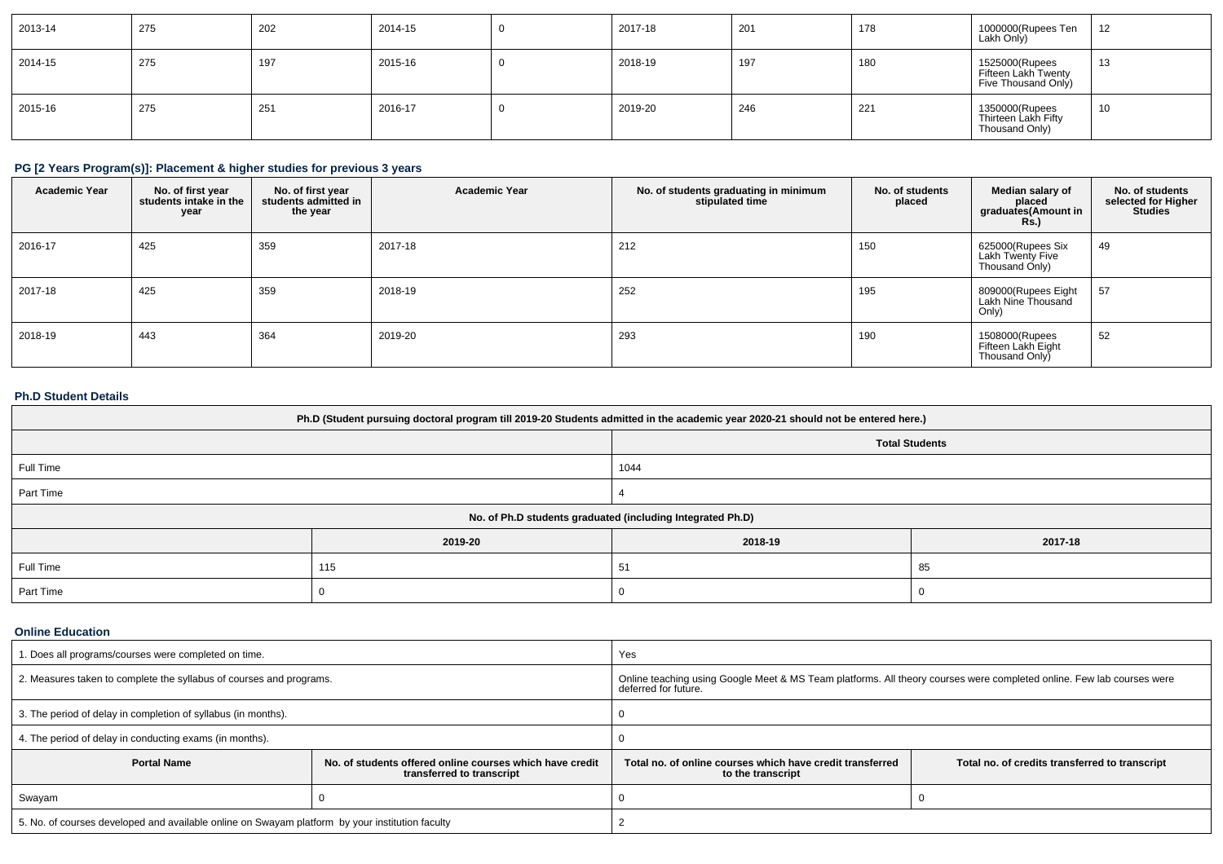| 2013-14 | 275 | 202 | 2014-15 | 2017-18 | 201 | 178 | 1000000(Rupees Ten<br>Lakh Only)                             | 12<br>$\sim$ |
|---------|-----|-----|---------|---------|-----|-----|--------------------------------------------------------------|--------------|
| 2014-15 | 275 | 197 | 2015-16 | 2018-19 | 197 | 180 | 1525000(Rupees<br>Fifteen Lakh Twenty<br>Five Thousand Only) | 13           |
| 2015-16 | 275 | 251 | 2016-17 | 2019-20 | 246 | 221 | 1350000(Rupees<br>Thirteen Lakh Fifty<br>Thousand Only)      | 10           |

### **PG [2 Years Program(s)]: Placement & higher studies for previous 3 years**

| <b>Academic Year</b> | No. of first year<br>students intake in the<br>year | No. of first year<br>students admitted in<br>the year | <b>Academic Year</b> | No. of students graduating in minimum<br>stipulated time | No. of students<br>placed | Median salary of<br>placed<br>graduates(Amount in<br><b>Rs.</b> ) | No. of students<br>selected for Higher<br><b>Studies</b> |
|----------------------|-----------------------------------------------------|-------------------------------------------------------|----------------------|----------------------------------------------------------|---------------------------|-------------------------------------------------------------------|----------------------------------------------------------|
| 2016-17              | 425                                                 | 359                                                   | 2017-18              | 212                                                      | 150                       | 625000(Rupees Six<br>Lakh Twenty Five<br>Thousand Only)           | 49                                                       |
| 2017-18              | 425                                                 | 359                                                   | 2018-19              | 252                                                      | 195                       | 809000(Rupees Eight<br>Lakh Nine Thousand<br>Only)                | 57                                                       |
| 2018-19              | 443                                                 | 364                                                   | 2019-20              | 293                                                      | 190                       | 1508000(Rupees<br>Fifteen Lakh Eight<br>Thousand Only             | 52                                                       |

### **Ph.D Student Details**

| Ph.D (Student pursuing doctoral program till 2019-20 Students admitted in the academic year 2020-21 should not be entered here.) |                       |         |         |  |  |  |
|----------------------------------------------------------------------------------------------------------------------------------|-----------------------|---------|---------|--|--|--|
|                                                                                                                                  | <b>Total Students</b> |         |         |  |  |  |
| Full Time                                                                                                                        |                       | 1044    |         |  |  |  |
| Part Time                                                                                                                        |                       |         |         |  |  |  |
| No. of Ph.D students graduated (including Integrated Ph.D)                                                                       |                       |         |         |  |  |  |
|                                                                                                                                  | 2019-20               | 2018-19 | 2017-18 |  |  |  |
| Full Time                                                                                                                        | 115                   | 51      | 85      |  |  |  |
| Part Time                                                                                                                        |                       |         |         |  |  |  |

#### **Online Education**

| 1. Does all programs/courses were completed on time.                                            |                                                                                       | Yes                                                                                                                                           |                                                |  |  |
|-------------------------------------------------------------------------------------------------|---------------------------------------------------------------------------------------|-----------------------------------------------------------------------------------------------------------------------------------------------|------------------------------------------------|--|--|
| 2. Measures taken to complete the syllabus of courses and programs.                             |                                                                                       | Online teaching using Google Meet & MS Team platforms. All theory courses were completed online. Few lab courses were<br>deferred for future. |                                                |  |  |
| 3. The period of delay in completion of syllabus (in months).                                   |                                                                                       |                                                                                                                                               |                                                |  |  |
| 4. The period of delay in conducting exams (in months).                                         |                                                                                       |                                                                                                                                               |                                                |  |  |
| <b>Portal Name</b>                                                                              | No. of students offered online courses which have credit<br>transferred to transcript | Total no, of online courses which have credit transferred<br>to the transcript                                                                | Total no. of credits transferred to transcript |  |  |
| Swayam                                                                                          |                                                                                       |                                                                                                                                               |                                                |  |  |
| 5. No. of courses developed and available online on Swayam platform by your institution faculty |                                                                                       |                                                                                                                                               |                                                |  |  |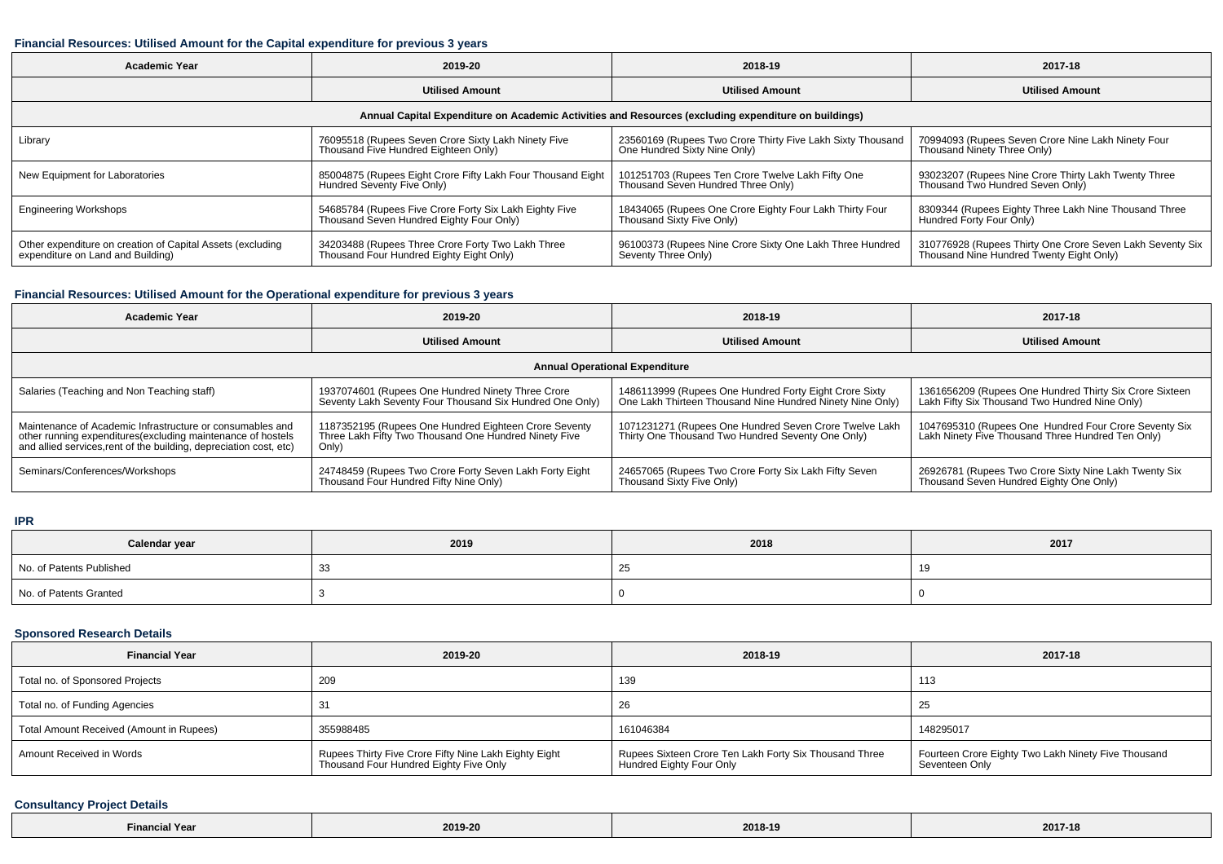#### **Financial Resources: Utilised Amount for the Capital expenditure for previous 3 years**

| <b>Academic Year</b>                                                                                 | 2019-20                                                                                            | 2018-19                                                                                    | 2017-18                                                                                               |  |  |  |  |  |
|------------------------------------------------------------------------------------------------------|----------------------------------------------------------------------------------------------------|--------------------------------------------------------------------------------------------|-------------------------------------------------------------------------------------------------------|--|--|--|--|--|
|                                                                                                      | <b>Utilised Amount</b>                                                                             | <b>Utilised Amount</b>                                                                     | <b>Utilised Amount</b>                                                                                |  |  |  |  |  |
| Annual Capital Expenditure on Academic Activities and Resources (excluding expenditure on buildings) |                                                                                                    |                                                                                            |                                                                                                       |  |  |  |  |  |
| Library                                                                                              | 76095518 (Rupees Seven Crore Sixty Lakh Ninety Five<br>Thousand Five Hundred Eighteen Only)        | 23560169 (Rupees Two Crore Thirty Five Lakh Sixty Thousand<br>One Hundred Sixty Nine Only) | 70994093 (Rupees Seven Crore Nine Lakh Ninety Four<br>Thousand Ninety Three Only)                     |  |  |  |  |  |
| New Equipment for Laboratories                                                                       | 85004875 (Rupees Eight Crore Fifty Lakh Four Thousand Eight<br>Hundred Seventy Five Only)          | 101251703 (Rupees Ten Crore Twelve Lakh Fifty One<br>Thousand Seven Hundred Three Only)    | 93023207 (Rupees Nine Crore Thirty Lakh Twenty Three<br>Thousand Two Hundred Seven Only)              |  |  |  |  |  |
| <b>Engineering Workshops</b>                                                                         | 54685784 (Rupees Five Crore Forty Six Lakh Eighty Five<br>Thousand Seven Hundred Eighty Four Only) | 18434065 (Rupees One Crore Eighty Four Lakh Thirty Four<br>Thousand Sixty Five Only)       | 8309344 (Rupees Eighty Three Lakh Nine Thousand Three<br>Hundred Forty Four Only)                     |  |  |  |  |  |
| Other expenditure on creation of Capital Assets (excluding<br>expenditure on Land and Building)      | 34203488 (Rupees Three Crore Forty Two Lakh Three<br>Thousand Four Hundred Eighty Eight Only)      | 96100373 (Rupees Nine Crore Sixty One Lakh Three Hundred<br>Seventy Three Only)            | 310776928 (Rupees Thirty One Crore Seven Lakh Seventy Six<br>Thousand Nine Hundred Twenty Eight Only) |  |  |  |  |  |

#### **Financial Resources: Utilised Amount for the Operational expenditure for previous 3 years**

| Academic Year                                                                                                                                                                                   | 2019-20                                                                                                                 | 2018-19                                                                                                             | 2017-18                                                                                                    |  |  |  |  |  |
|-------------------------------------------------------------------------------------------------------------------------------------------------------------------------------------------------|-------------------------------------------------------------------------------------------------------------------------|---------------------------------------------------------------------------------------------------------------------|------------------------------------------------------------------------------------------------------------|--|--|--|--|--|
|                                                                                                                                                                                                 | <b>Utilised Amount</b>                                                                                                  | <b>Utilised Amount</b>                                                                                              | <b>Utilised Amount</b>                                                                                     |  |  |  |  |  |
| <b>Annual Operational Expenditure</b>                                                                                                                                                           |                                                                                                                         |                                                                                                                     |                                                                                                            |  |  |  |  |  |
| Salaries (Teaching and Non Teaching staff)                                                                                                                                                      | 1937074601 (Rupees One Hundred Ninety Three Crore<br>Seventy Lakh Seventy Four Thousand Six Hundred One Only)           | 1486113999 (Rupees One Hundred Forty Eight Crore Sixty<br>One Lakh Thirteen Thousand Nine Hundred Ninety Nine Only) | 1361656209 (Rupees One Hundred Thirty Six Crore Sixteen<br>Lakh Fifty Six Thousand Two Hundred Nine Only)  |  |  |  |  |  |
| Maintenance of Academic Infrastructure or consumables and<br>other running expenditures (excluding maintenance of hostels<br>and allied services, rent of the building, depreciation cost, etc) | 1187352195 (Rupees One Hundred Eighteen Crore Seventy<br>Three Lakh Fifty Two Thousand One Hundred Ninety Five<br>Only) | 1071231271 (Rupees One Hundred Seven Crore Twelve Lakh<br>Thirty One Thousand Two Hundred Seventy One Only)         | 1047695310 (Rupees One Hundred Four Crore Seventy Six<br>Lakh Ninety Five Thousand Three Hundred Ten Only) |  |  |  |  |  |
| Seminars/Conferences/Workshops                                                                                                                                                                  | 24748459 (Rupees Two Crore Forty Seven Lakh Forty Eight<br>Thousand Four Hundred Fifty Nine Only)                       | 24657065 (Rupees Two Crore Forty Six Lakh Fifty Seven<br>Thousand Sixty Five Only)                                  | 26926781 (Rupees Two Crore Sixty Nine Lakh Twenty Six<br>Thousand Seven Hundred Eighty One Only)           |  |  |  |  |  |

**IPR**

| Calendar year            | 2019 | 2018 | 2017 |
|--------------------------|------|------|------|
| No. of Patents Published |      | ںے   |      |
| No. of Patents Granted   |      |      |      |

### **Sponsored Research Details**

| <b>Financial Year</b>                    | 2019-20                                                                                         | 2018-19                                                                            | 2017-18                                                               |
|------------------------------------------|-------------------------------------------------------------------------------------------------|------------------------------------------------------------------------------------|-----------------------------------------------------------------------|
| Total no. of Sponsored Projects          | 209                                                                                             | 139                                                                                | 113                                                                   |
| Total no. of Funding Agencies            |                                                                                                 | 26                                                                                 | -25                                                                   |
| Total Amount Received (Amount in Rupees) | 355988485                                                                                       | 161046384                                                                          | 148295017                                                             |
| Amount Received in Words                 | Rupees Thirty Five Crore Fifty Nine Lakh Eighty Eight<br>Thousand Four Hundred Eighty Five Only | Rupees Sixteen Crore Ten Lakh Forty Six Thousand Three<br>Hundred Eighty Four Only | Fourteen Crore Eighty Two Lakh Ninety Five Thousand<br>Seventeen Only |

#### **Consultancy Project Details**

| $\sim$<br><b>Financial Year</b> | 2019-20<br>. | 2018-19 | 0.047<br>$201$ $\sim$<br>the contract of the contract of the |
|---------------------------------|--------------|---------|--------------------------------------------------------------|
|---------------------------------|--------------|---------|--------------------------------------------------------------|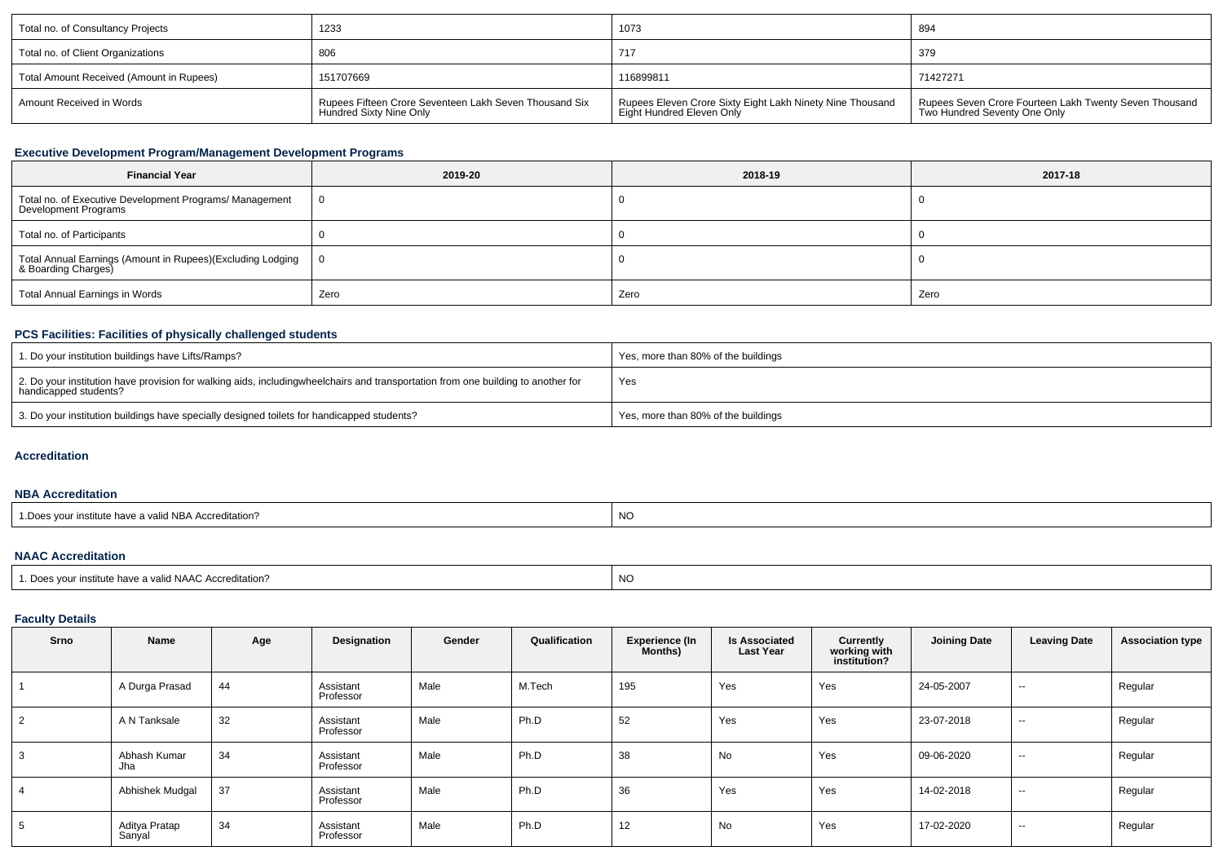| Total no. of Consultancy Projects        | 1233                                                                              | 1073                                                                                   | 894                                                                                    |
|------------------------------------------|-----------------------------------------------------------------------------------|----------------------------------------------------------------------------------------|----------------------------------------------------------------------------------------|
| Total no. of Client Organizations        | 806                                                                               | 717                                                                                    | 379                                                                                    |
| Total Amount Received (Amount in Rupees) | 151707669                                                                         | 116899811                                                                              | 71427271                                                                               |
| Amount Received in Words                 | Rupees Fifteen Crore Seventeen Lakh Seven Thousand Six<br>Hundred Sixty Nine Only | Rupees Eleven Crore Sixty Eight Lakh Ninety Nine Thousand<br>Eight Hundred Eleven Only | Rupees Seven Crore Fourteen Lakh Twenty Seven Thousand<br>Two Hundred Seventy One Only |

### **Executive Development Program/Management Development Programs**

| <b>Financial Year</b>                                                                  | 2019-20        | 2018-19 | 2017-18 |  |  |
|----------------------------------------------------------------------------------------|----------------|---------|---------|--|--|
| Total no. of Executive Development Programs/ Management<br><b>Development Programs</b> | $\overline{0}$ |         |         |  |  |
| Total no. of Participants                                                              |                |         |         |  |  |
| Total Annual Earnings (Amount in Rupees)(Excluding Lodging<br>& Boarding Charges)      | - 0            |         |         |  |  |
| <b>Total Annual Earnings in Words</b>                                                  | Zero           | Zero    | Zero    |  |  |

# **PCS Facilities: Facilities of physically challenged students**

| 1. Do your institution buildings have Lifts/Ramps?                                                                                                        | Yes, more than 80% of the buildings |
|-----------------------------------------------------------------------------------------------------------------------------------------------------------|-------------------------------------|
| 2. Do your institution have provision for walking aids, includingwheelchairs and transportation from one building to another for<br>handicapped students? | Yes                                 |
| 3. Do your institution buildings have specially designed toilets for handicapped students?                                                                | Yes, more than 80% of the buildings |

#### **Accreditation**

#### **NBA Accreditation**

| <b>NO</b><br>$H = 100$<br>valid NBA Accreditation?<br>msutute nave |  |
|--------------------------------------------------------------------|--|
|--------------------------------------------------------------------|--|

#### **NAAC Accreditation**

| 1. Does vour institute have a valid NAAC Accreditation? | NO.<br>$\sim$ |
|---------------------------------------------------------|---------------|
|                                                         |               |

### **Faculty Details**

| Srno | Name                    | Age | Designation            | Gender | Qualification | Experience (In<br>Months) | <b>Is Associated</b><br><b>Last Year</b> | Currently<br>working with<br>institution? | <b>Joining Date</b> | <b>Leaving Date</b> | <b>Association type</b> |
|------|-------------------------|-----|------------------------|--------|---------------|---------------------------|------------------------------------------|-------------------------------------------|---------------------|---------------------|-------------------------|
|      | A Durga Prasad          | 44  | Assistant<br>Professor | Male   | M.Tech        | 195                       | Yes                                      | Yes                                       | 24-05-2007          | $\sim$              | Regular                 |
| 2    | A N Tanksale            | 32  | Assistant<br>Professor | Male   | Ph.D          | 52                        | Yes                                      | Yes                                       | 23-07-2018          | $\sim$              | Regular                 |
|      | Abhash Kumar<br>Jha     | 34  | Assistant<br>Professor | Male   | Ph.D          | 38                        | No                                       | Yes                                       | 09-06-2020          | $\sim$              | Regular                 |
|      | Abhishek Mudgal         | 37  | Assistant<br>Professor | Male   | Ph.D          | 36                        | Yes                                      | Yes                                       | 14-02-2018          | $\sim$              | Regular                 |
| Ð.   | Aditya Pratap<br>Sanyal | 34  | Assistant<br>Professor | Male   | Ph.D          | 12                        | No                                       | Yes                                       | 17-02-2020          | $- -$               | Regular                 |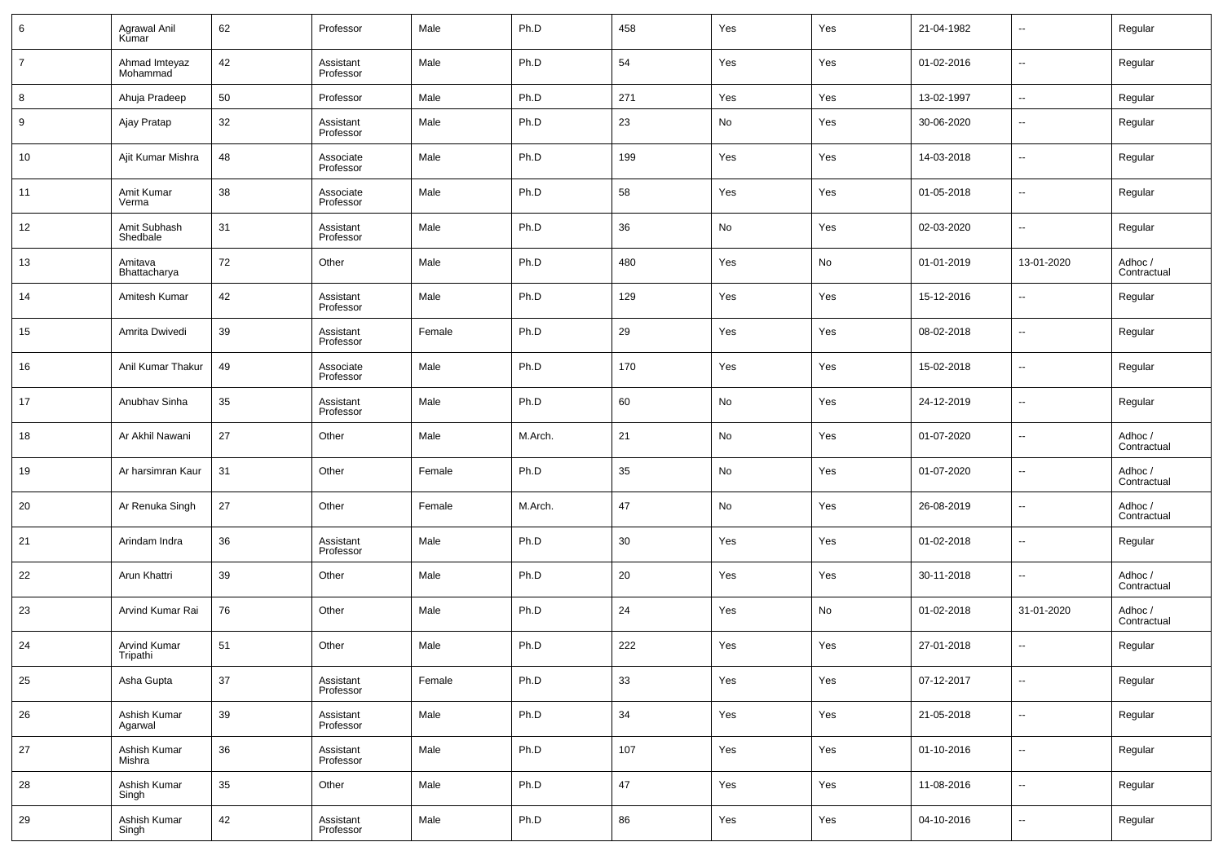| 6              | Agrawal Anil<br>Kumar     | 62 | Professor              | Male   | Ph.D    | 458 | Yes                          | Yes | 21-04-1982 | $\sim$                   | Regular                |
|----------------|---------------------------|----|------------------------|--------|---------|-----|------------------------------|-----|------------|--------------------------|------------------------|
| $\overline{7}$ | Ahmad Imteyaz<br>Mohammad | 42 | Assistant<br>Professor | Male   | Ph.D    | 54  | Yes                          | Yes | 01-02-2016 | $\sim$                   | Regular                |
| 8              | Ahuja Pradeep             | 50 | Professor              | Male   | Ph.D    | 271 | Yes                          | Yes | 13-02-1997 | $\sim$                   | Regular                |
| 9              | Ajay Pratap               | 32 | Assistant<br>Professor | Male   | Ph.D    | 23  | No                           | Yes | 30-06-2020 | $\overline{\phantom{a}}$ | Regular                |
| 10             | Ajit Kumar Mishra         | 48 | Associate<br>Professor | Male   | Ph.D    | 199 | Yes                          | Yes | 14-03-2018 | $\overline{\phantom{a}}$ | Regular                |
| 11             | Amit Kumar<br>Verma       | 38 | Associate<br>Professor | Male   | Ph.D    | 58  | Yes                          | Yes | 01-05-2018 | $\overline{\phantom{a}}$ | Regular                |
| 12             | Amit Subhash<br>Shedbale  | 31 | Assistant<br>Professor | Male   | Ph.D    | 36  | No                           | Yes | 02-03-2020 | $\overline{\phantom{a}}$ | Regular                |
| 13             | Amitava<br>Bhattacharya   | 72 | Other                  | Male   | Ph.D    | 480 | Yes                          | No  | 01-01-2019 | 13-01-2020               | Adhoc /<br>Contractual |
| 14             | Amitesh Kumar             | 42 | Assistant<br>Professor | Male   | Ph.D    | 129 | Yes                          | Yes | 15-12-2016 | $\overline{\phantom{a}}$ | Regular                |
| 15             | Amrita Dwivedi            | 39 | Assistant<br>Professor | Female | Ph.D    | 29  | Yes                          | Yes | 08-02-2018 | $\overline{\phantom{a}}$ | Regular                |
| 16             | Anil Kumar Thakur         | 49 | Associate<br>Professor | Male   | Ph.D    | 170 | Yes                          | Yes | 15-02-2018 | $\overline{\phantom{a}}$ | Regular                |
| 17             | Anubhav Sinha             | 35 | Assistant<br>Professor | Male   | Ph.D    | 60  | No                           | Yes | 24-12-2019 | $\overline{\phantom{a}}$ | Regular                |
| 18             | Ar Akhil Nawani           | 27 | Other                  | Male   | M.Arch. | 21  | $\operatorname{\mathsf{No}}$ | Yes | 01-07-2020 | $\overline{\phantom{a}}$ | Adhoc /<br>Contractual |
| 19             | Ar harsimran Kaur         | 31 | Other                  | Female | Ph.D    | 35  | No                           | Yes | 01-07-2020 | $\overline{\phantom{a}}$ | Adhoc /<br>Contractual |
| 20             | Ar Renuka Singh           | 27 | Other                  | Female | M.Arch. | 47  | No                           | Yes | 26-08-2019 | $\overline{\phantom{a}}$ | Adhoc /<br>Contractual |
| 21             | Arindam Indra             | 36 | Assistant<br>Professor | Male   | Ph.D    | 30  | Yes                          | Yes | 01-02-2018 | $\overline{\phantom{a}}$ | Regular                |
| 22             | Arun Khattri              | 39 | Other                  | Male   | Ph.D    | 20  | Yes                          | Yes | 30-11-2018 | $\overline{\phantom{a}}$ | Adhoc /<br>Contractual |
| 23             | Arvind Kumar Rai          | 76 | Other                  | Male   | Ph.D    | 24  | Yes                          | No  | 01-02-2018 | 31-01-2020               | Adhoc /<br>Contractual |
| 24             | Arvind Kumar<br>Tripathi  | 51 | Other                  | Male   | Ph.D    | 222 | Yes                          | Yes | 27-01-2018 | $\overline{\phantom{a}}$ | Regular                |
| 25             | Asha Gupta                | 37 | Assistant<br>Professor | Female | Ph.D    | 33  | Yes                          | Yes | 07-12-2017 | $\overline{\phantom{a}}$ | Regular                |
| 26             | Ashish Kumar<br>Agarwal   | 39 | Assistant<br>Professor | Male   | Ph.D    | 34  | Yes                          | Yes | 21-05-2018 | $\overline{\phantom{a}}$ | Regular                |
| 27             | Ashish Kumar<br>Mishra    | 36 | Assistant<br>Professor | Male   | Ph.D    | 107 | Yes                          | Yes | 01-10-2016 | $\overline{\phantom{a}}$ | Regular                |
| 28             | Ashish Kumar<br>Singh     | 35 | Other                  | Male   | Ph.D    | 47  | Yes                          | Yes | 11-08-2016 | $\overline{\phantom{a}}$ | Regular                |
| 29             | Ashish Kumar<br>Singh     | 42 | Assistant<br>Professor | Male   | Ph.D    | 86  | Yes                          | Yes | 04-10-2016 | $\overline{\phantom{a}}$ | Regular                |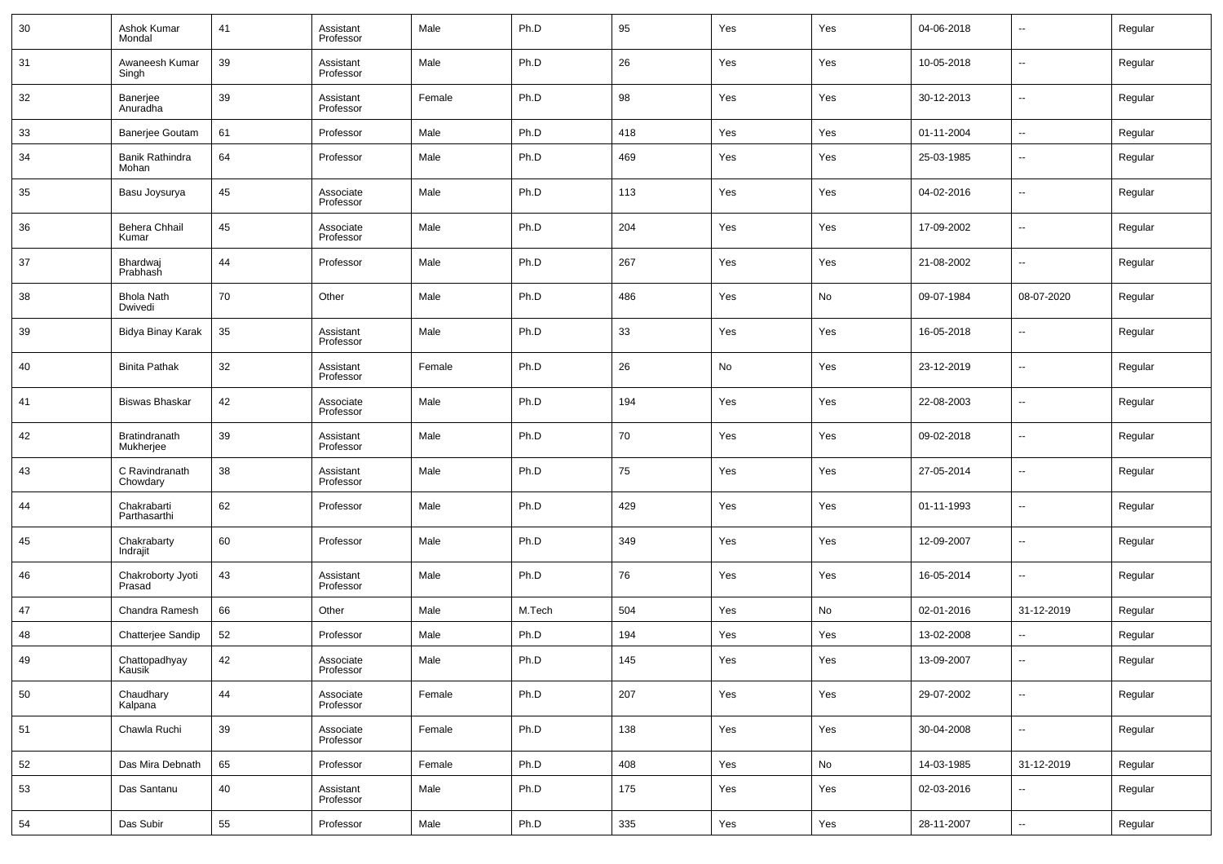| 30 | Ashok Kumar<br>Mondal        | 41 | Assistant<br>Professor | Male   | Ph.D   | 95  | Yes | Yes | 04-06-2018 | $\overline{\phantom{a}}$ | Regular |
|----|------------------------------|----|------------------------|--------|--------|-----|-----|-----|------------|--------------------------|---------|
| 31 | Awaneesh Kumar<br>Singh      | 39 | Assistant<br>Professor | Male   | Ph.D   | 26  | Yes | Yes | 10-05-2018 | $\sim$                   | Regular |
| 32 | Banerjee<br>Anuradha         | 39 | Assistant<br>Professor | Female | Ph.D   | 98  | Yes | Yes | 30-12-2013 | $\overline{\phantom{a}}$ | Regular |
| 33 | <b>Banerjee Goutam</b>       | 61 | Professor              | Male   | Ph.D   | 418 | Yes | Yes | 01-11-2004 | $\sim$                   | Regular |
| 34 | Banik Rathindra<br>Mohan     | 64 | Professor              | Male   | Ph.D   | 469 | Yes | Yes | 25-03-1985 | $\overline{\phantom{a}}$ | Regular |
| 35 | Basu Joysurya                | 45 | Associate<br>Professor | Male   | Ph.D   | 113 | Yes | Yes | 04-02-2016 | $\overline{\phantom{a}}$ | Regular |
| 36 | Behera Chhail<br>Kumar       | 45 | Associate<br>Professor | Male   | Ph.D   | 204 | Yes | Yes | 17-09-2002 | $\overline{\phantom{a}}$ | Regular |
| 37 | Bhardwaj<br>Prabhash         | 44 | Professor              | Male   | Ph.D   | 267 | Yes | Yes | 21-08-2002 | $\overline{\phantom{a}}$ | Regular |
| 38 | <b>Bhola Nath</b><br>Dwivedi | 70 | Other                  | Male   | Ph.D   | 486 | Yes | No  | 09-07-1984 | 08-07-2020               | Regular |
| 39 | Bidya Binay Karak            | 35 | Assistant<br>Professor | Male   | Ph.D   | 33  | Yes | Yes | 16-05-2018 | $\overline{\phantom{a}}$ | Regular |
| 40 | <b>Binita Pathak</b>         | 32 | Assistant<br>Professor | Female | Ph.D   | 26  | No  | Yes | 23-12-2019 | $\overline{\phantom{a}}$ | Regular |
| 41 | <b>Biswas Bhaskar</b>        | 42 | Associate<br>Professor | Male   | Ph.D   | 194 | Yes | Yes | 22-08-2003 | $\overline{\phantom{a}}$ | Regular |
| 42 | Bratindranath<br>Mukherjee   | 39 | Assistant<br>Professor | Male   | Ph.D   | 70  | Yes | Yes | 09-02-2018 | $\overline{\phantom{a}}$ | Regular |
| 43 | C Ravindranath<br>Chowdary   | 38 | Assistant<br>Professor | Male   | Ph.D   | 75  | Yes | Yes | 27-05-2014 | $\overline{\phantom{a}}$ | Regular |
| 44 | Chakrabarti<br>Parthasarthi  | 62 | Professor              | Male   | Ph.D   | 429 | Yes | Yes | 01-11-1993 | $\overline{\phantom{a}}$ | Regular |
| 45 | Chakrabarty<br>Indrajit      | 60 | Professor              | Male   | Ph.D   | 349 | Yes | Yes | 12-09-2007 | --                       | Regular |
| 46 | Chakroborty Jyoti<br>Prasad  | 43 | Assistant<br>Professor | Male   | Ph.D   | 76  | Yes | Yes | 16-05-2014 | $\overline{\phantom{a}}$ | Regular |
| 47 | Chandra Ramesh               | 66 | Other                  | Male   | M.Tech | 504 | Yes | No  | 02-01-2016 | 31-12-2019               | Regular |
| 48 | Chatterjee Sandip            | 52 | Professor              | Male   | Ph.D   | 194 | Yes | Yes | 13-02-2008 | --                       | Regular |
| 49 | Chattopadhyay<br>Kausik      | 42 | Associate<br>Professor | Male   | Ph.D   | 145 | Yes | Yes | 13-09-2007 | $\overline{\phantom{a}}$ | Regular |
| 50 | Chaudhary<br>Kalpana         | 44 | Associate<br>Professor | Female | Ph.D   | 207 | Yes | Yes | 29-07-2002 | $\sim$                   | Regular |
| 51 | Chawla Ruchi                 | 39 | Associate<br>Professor | Female | Ph.D   | 138 | Yes | Yes | 30-04-2008 | $\sim$                   | Regular |
| 52 | Das Mira Debnath             | 65 | Professor              | Female | Ph.D   | 408 | Yes | No  | 14-03-1985 | 31-12-2019               | Regular |
| 53 | Das Santanu                  | 40 | Assistant<br>Professor | Male   | Ph.D   | 175 | Yes | Yes | 02-03-2016 | $\overline{\phantom{a}}$ | Regular |
| 54 | Das Subir                    | 55 | Professor              | Male   | Ph.D   | 335 | Yes | Yes | 28-11-2007 | $\overline{\phantom{a}}$ | Regular |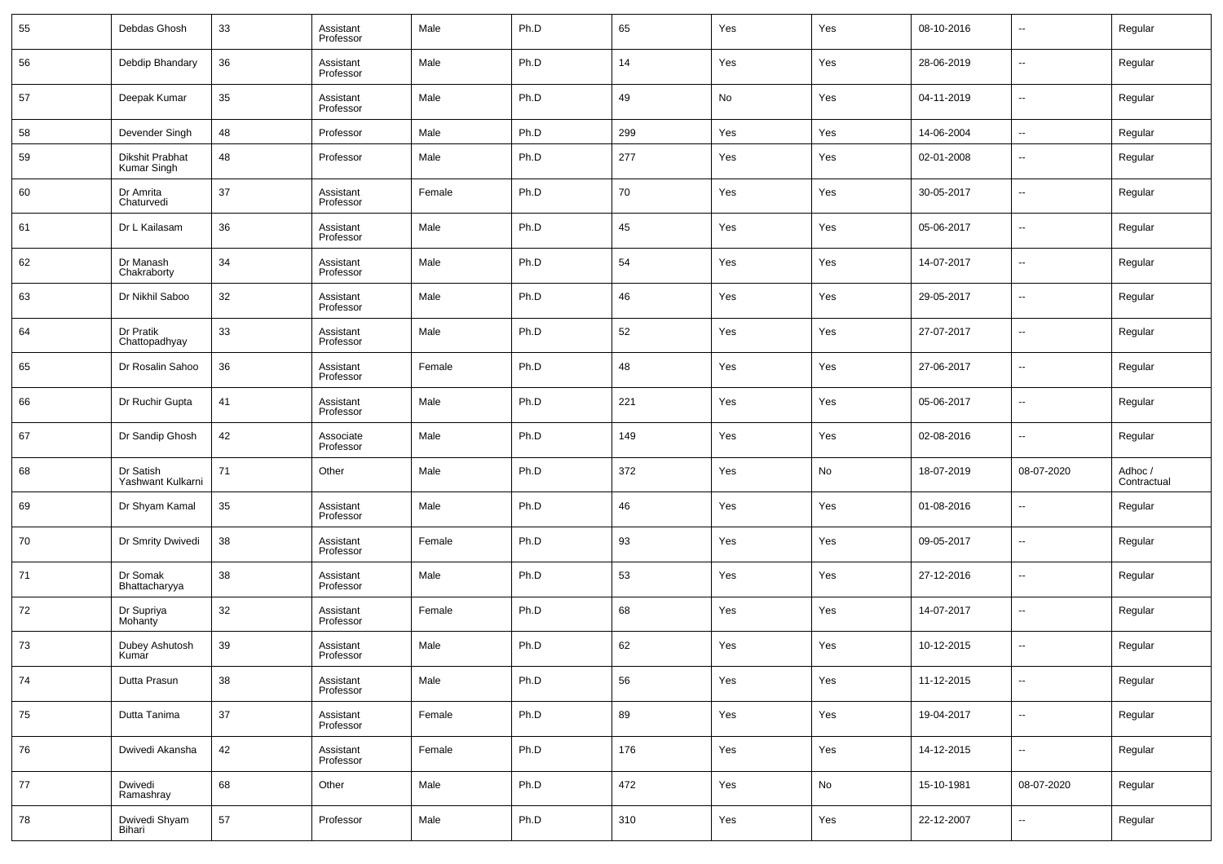| 55 | Debdas Ghosh                   | 33 | Assistant<br>Professor | Male   | Ph.D | 65  | Yes | Yes | 08-10-2016 | $\overline{\phantom{a}}$ | Regular                |
|----|--------------------------------|----|------------------------|--------|------|-----|-----|-----|------------|--------------------------|------------------------|
| 56 | Debdip Bhandary                | 36 | Assistant<br>Professor | Male   | Ph.D | 14  | Yes | Yes | 28-06-2019 | ۰.                       | Regular                |
| 57 | Deepak Kumar                   | 35 | Assistant<br>Professor | Male   | Ph.D | 49  | No  | Yes | 04-11-2019 | $\overline{\phantom{a}}$ | Regular                |
| 58 | Devender Singh                 | 48 | Professor              | Male   | Ph.D | 299 | Yes | Yes | 14-06-2004 | $\sim$                   | Regular                |
| 59 | Dikshit Prabhat<br>Kumar Singh | 48 | Professor              | Male   | Ph.D | 277 | Yes | Yes | 02-01-2008 | $\overline{\phantom{a}}$ | Regular                |
| 60 | Dr Amrita<br>Chaturvedi        | 37 | Assistant<br>Professor | Female | Ph.D | 70  | Yes | Yes | 30-05-2017 | ۰.                       | Regular                |
| 61 | Dr L Kailasam                  | 36 | Assistant<br>Professor | Male   | Ph.D | 45  | Yes | Yes | 05-06-2017 | $\sim$                   | Regular                |
| 62 | Dr Manash<br>Chakraborty       | 34 | Assistant<br>Professor | Male   | Ph.D | 54  | Yes | Yes | 14-07-2017 | $\overline{\phantom{a}}$ | Regular                |
| 63 | Dr Nikhil Saboo                | 32 | Assistant<br>Professor | Male   | Ph.D | 46  | Yes | Yes | 29-05-2017 | $\sim$                   | Regular                |
| 64 | Dr Pratik<br>Chattopadhyay     | 33 | Assistant<br>Professor | Male   | Ph.D | 52  | Yes | Yes | 27-07-2017 | $\overline{\phantom{a}}$ | Regular                |
| 65 | Dr Rosalin Sahoo               | 36 | Assistant<br>Professor | Female | Ph.D | 48  | Yes | Yes | 27-06-2017 | $\sim$                   | Regular                |
| 66 | Dr Ruchir Gupta                | 41 | Assistant<br>Professor | Male   | Ph.D | 221 | Yes | Yes | 05-06-2017 | $\overline{\phantom{a}}$ | Regular                |
| 67 | Dr Sandip Ghosh                | 42 | Associate<br>Professor | Male   | Ph.D | 149 | Yes | Yes | 02-08-2016 | ۰.                       | Regular                |
| 68 | Dr Satish<br>Yashwant Kulkarni | 71 | Other                  | Male   | Ph.D | 372 | Yes | No  | 18-07-2019 | 08-07-2020               | Adhoc /<br>Contractual |
| 69 | Dr Shyam Kamal                 | 35 | Assistant<br>Professor | Male   | Ph.D | 46  | Yes | Yes | 01-08-2016 | $\overline{\phantom{a}}$ | Regular                |
| 70 | Dr Smrity Dwivedi              | 38 | Assistant<br>Professor | Female | Ph.D | 93  | Yes | Yes | 09-05-2017 | $\sim$                   | Regular                |
| 71 | Dr Somak<br>Bhattacharyya      | 38 | Assistant<br>Professor | Male   | Ph.D | 53  | Yes | Yes | 27-12-2016 | $\overline{\phantom{a}}$ | Regular                |
| 72 | Dr Supriya<br>Mohanty          | 32 | Assistant<br>Professor | Female | Ph.D | 68  | Yes | Yes | 14-07-2017 | $\sim$                   | Regular                |
| 73 | Dubey Ashutosh<br>Kumar        | 39 | Assistant<br>Professor | Male   | Ph.D | 62  | Yes | Yes | 10-12-2015 | $\overline{\phantom{a}}$ | Regular                |
| 74 | Dutta Prasun                   | 38 | Assistant<br>Professor | Male   | Ph.D | 56  | Yes | Yes | 11-12-2015 | $\sim$                   | Regular                |
| 75 | Dutta Tanima                   | 37 | Assistant<br>Professor | Female | Ph.D | 89  | Yes | Yes | 19-04-2017 | $\overline{\phantom{a}}$ | Regular                |
| 76 | Dwivedi Akansha                | 42 | Assistant<br>Professor | Female | Ph.D | 176 | Yes | Yes | 14-12-2015 | $\overline{\phantom{a}}$ | Regular                |
| 77 | Dwivedi<br>Ramashray           | 68 | Other                  | Male   | Ph.D | 472 | Yes | No  | 15-10-1981 | 08-07-2020               | Regular                |
| 78 | Dwivedi Shyam<br>Bihari        | 57 | Professor              | Male   | Ph.D | 310 | Yes | Yes | 22-12-2007 | $\overline{\phantom{a}}$ | Regular                |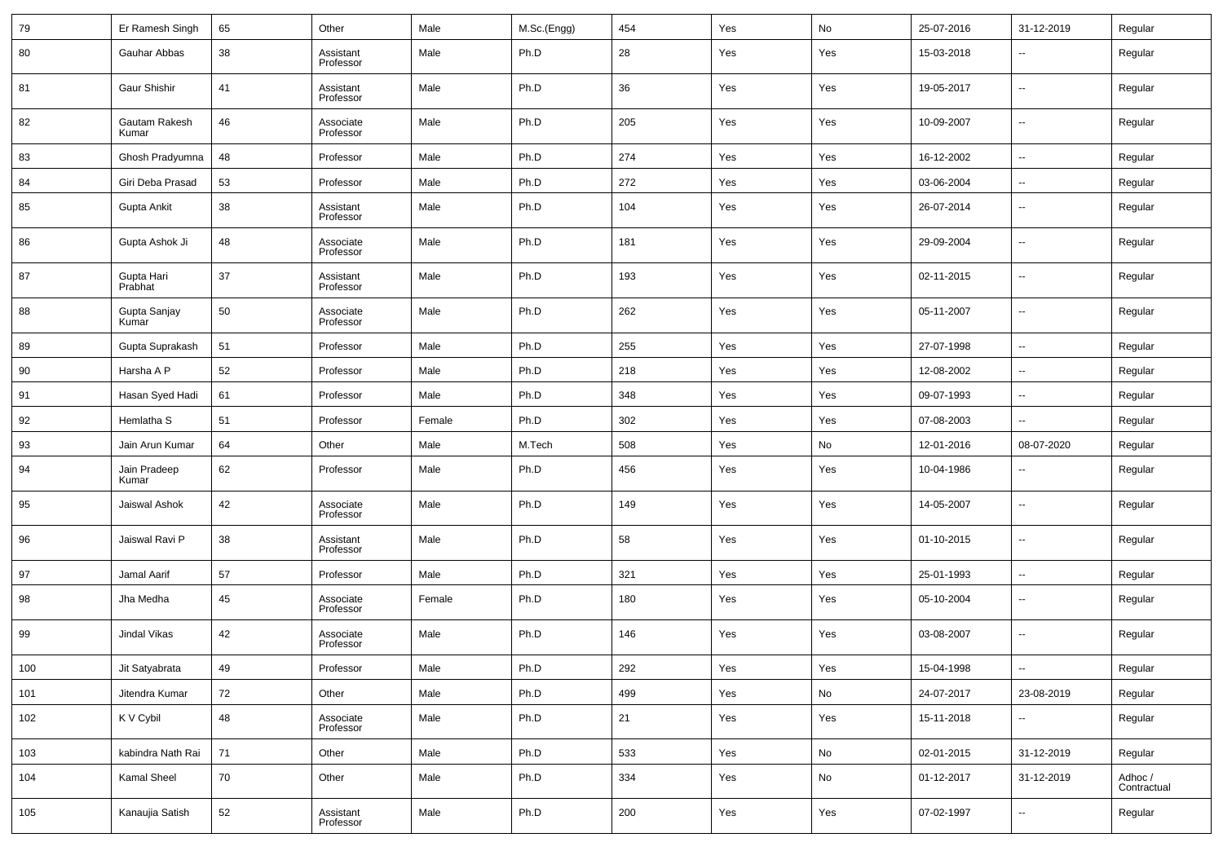| 79      | Er Ramesh Singh        | 65 | Other                  | Male   | M.Sc.(Engg) | 454 | Yes | No                           | 25-07-2016 | 31-12-2019               | Regular                |
|---------|------------------------|----|------------------------|--------|-------------|-----|-----|------------------------------|------------|--------------------------|------------------------|
| 80      | Gauhar Abbas           | 38 | Assistant<br>Professor | Male   | Ph.D        | 28  | Yes | Yes                          | 15-03-2018 | --                       | Regular                |
| 81      | Gaur Shishir           | 41 | Assistant<br>Professor | Male   | Ph.D        | 36  | Yes | Yes                          | 19-05-2017 | $\overline{\phantom{a}}$ | Regular                |
| 82      | Gautam Rakesh<br>Kumar | 46 | Associate<br>Professor | Male   | Ph.D        | 205 | Yes | Yes                          | 10-09-2007 | $\overline{\phantom{a}}$ | Regular                |
| 83      | Ghosh Pradyumna        | 48 | Professor              | Male   | Ph.D        | 274 | Yes | Yes                          | 16-12-2002 | $\overline{\phantom{a}}$ | Regular                |
| 84      | Giri Deba Prasad       | 53 | Professor              | Male   | Ph.D        | 272 | Yes | Yes                          | 03-06-2004 | ۰.                       | Regular                |
| 85      | Gupta Ankit            | 38 | Assistant<br>Professor | Male   | Ph.D        | 104 | Yes | Yes                          | 26-07-2014 | $\overline{\phantom{a}}$ | Regular                |
| 86      | Gupta Ashok Ji         | 48 | Associate<br>Professor | Male   | Ph.D        | 181 | Yes | Yes                          | 29-09-2004 | $\overline{\phantom{a}}$ | Regular                |
| 87      | Gupta Hari<br>Prabhat  | 37 | Assistant<br>Professor | Male   | Ph.D        | 193 | Yes | Yes                          | 02-11-2015 | $\overline{\phantom{a}}$ | Regular                |
| 88      | Gupta Sanjay<br>Kumar  | 50 | Associate<br>Professor | Male   | Ph.D        | 262 | Yes | Yes                          | 05-11-2007 | $\overline{\phantom{a}}$ | Regular                |
| 89      | Gupta Suprakash        | 51 | Professor              | Male   | Ph.D        | 255 | Yes | Yes                          | 27-07-1998 | $\overline{\phantom{a}}$ | Regular                |
| 90      | Harsha A P             | 52 | Professor              | Male   | Ph.D        | 218 | Yes | Yes                          | 12-08-2002 | $\ddotsc$                | Regular                |
| 91      | Hasan Syed Hadi        | 61 | Professor              | Male   | Ph.D        | 348 | Yes | Yes                          | 09-07-1993 | $\ddotsc$                | Regular                |
| 92      | Hemlatha S             | 51 | Professor              | Female | Ph.D        | 302 | Yes | Yes                          | 07-08-2003 | ۰.                       | Regular                |
| 93      | Jain Arun Kumar        | 64 | Other                  | Male   | M.Tech      | 508 | Yes | No                           | 12-01-2016 | 08-07-2020               | Regular                |
| 94      | Jain Pradeep<br>Kumar  | 62 | Professor              | Male   | Ph.D        | 456 | Yes | Yes                          | 10-04-1986 | --                       | Regular                |
| 95      | Jaiswal Ashok          | 42 | Associate<br>Professor | Male   | Ph.D        | 149 | Yes | Yes                          | 14-05-2007 | --                       | Regular                |
| 96      | Jaiswal Ravi P         | 38 | Assistant<br>Professor | Male   | Ph.D        | 58  | Yes | Yes                          | 01-10-2015 | --                       | Regular                |
| 97      | Jamal Aarif            | 57 | Professor              | Male   | Ph.D        | 321 | Yes | Yes                          | 25-01-1993 | $\overline{\phantom{a}}$ | Regular                |
| 98      | Jha Medha              | 45 | Associate<br>Professor | Female | Ph.D        | 180 | Yes | Yes                          | 05-10-2004 | $\overline{\phantom{a}}$ | Regular                |
| 99      | Jindal Vikas           | 42 | Associate<br>Professor | Male   | Ph.D        | 146 | Yes | Yes                          | 03-08-2007 | $\overline{\phantom{a}}$ | Regular                |
| $100\,$ | Jit Satyabrata         | 49 | Professor              | Male   | Ph.D        | 292 | Yes | Yes                          | 15-04-1998 | $\sim$                   | Regular                |
| 101     | Jitendra Kumar         | 72 | Other                  | Male   | Ph.D        | 499 | Yes | $\operatorname{\mathsf{No}}$ | 24-07-2017 | 23-08-2019               | Regular                |
| 102     | K V Cybil              | 48 | Associate<br>Professor | Male   | Ph.D        | 21  | Yes | Yes                          | 15-11-2018 | ⊷                        | Regular                |
| 103     | kabindra Nath Rai      | 71 | Other                  | Male   | Ph.D        | 533 | Yes | No                           | 02-01-2015 | 31-12-2019               | Regular                |
| 104     | Kamal Sheel            | 70 | Other                  | Male   | Ph.D        | 334 | Yes | $\operatorname{\mathsf{No}}$ | 01-12-2017 | 31-12-2019               | Adhoc /<br>Contractual |
| 105     | Kanaujia Satish        | 52 | Assistant<br>Professor | Male   | Ph.D        | 200 | Yes | Yes                          | 07-02-1997 | $\overline{\phantom{a}}$ | Regular                |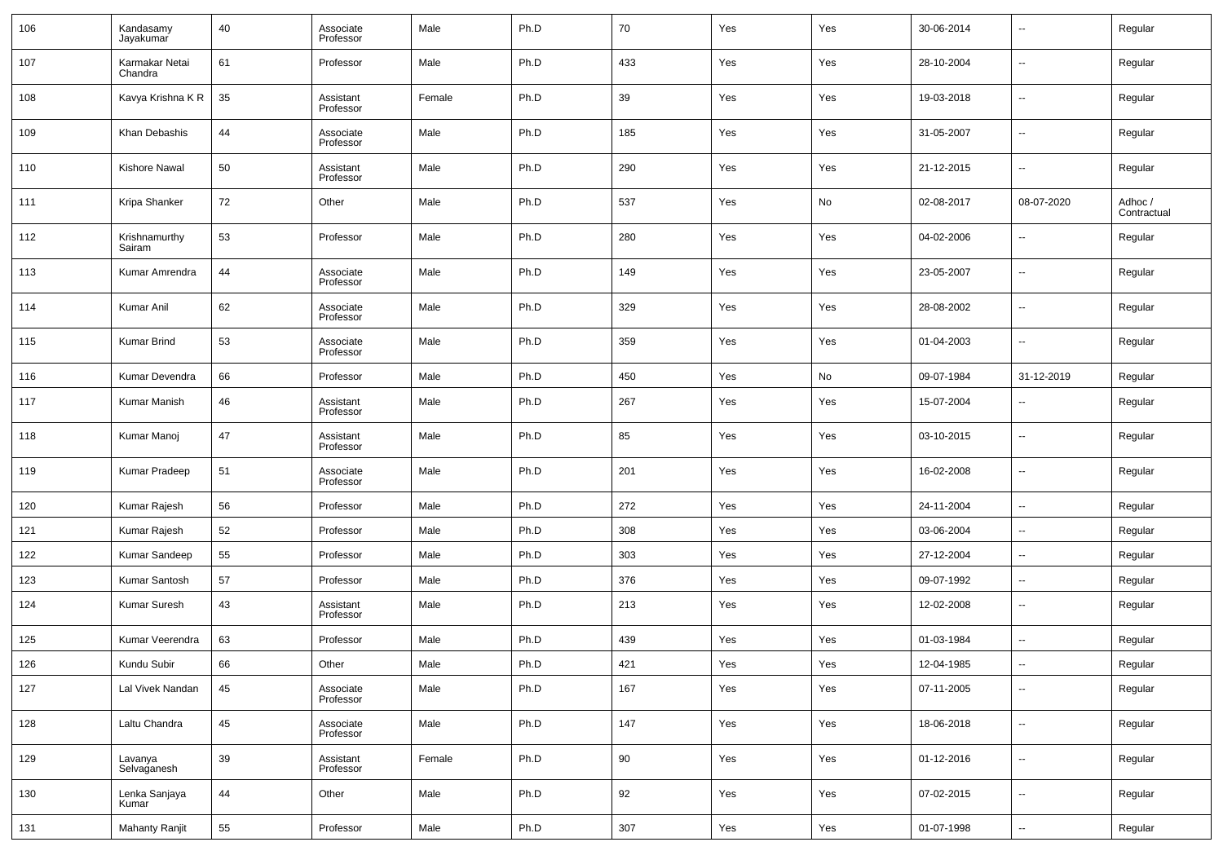| 106 | Kandasamy<br>Jayakumar    | 40 | Associate<br>Professor | Male   | Ph.D | 70     | Yes | Yes | 30-06-2014 | $\overline{\phantom{a}}$ | Regular                |
|-----|---------------------------|----|------------------------|--------|------|--------|-----|-----|------------|--------------------------|------------------------|
| 107 | Karmakar Netai<br>Chandra | 61 | Professor              | Male   | Ph.D | 433    | Yes | Yes | 28-10-2004 | $\overline{\phantom{a}}$ | Regular                |
| 108 | Kavya Krishna K R         | 35 | Assistant<br>Professor | Female | Ph.D | 39     | Yes | Yes | 19-03-2018 | $\overline{\phantom{a}}$ | Regular                |
| 109 | Khan Debashis             | 44 | Associate<br>Professor | Male   | Ph.D | 185    | Yes | Yes | 31-05-2007 | $\overline{\phantom{a}}$ | Regular                |
| 110 | Kishore Nawal             | 50 | Assistant<br>Professor | Male   | Ph.D | 290    | Yes | Yes | 21-12-2015 | $\overline{\phantom{a}}$ | Regular                |
| 111 | Kripa Shanker             | 72 | Other                  | Male   | Ph.D | 537    | Yes | No  | 02-08-2017 | 08-07-2020               | Adhoc /<br>Contractual |
| 112 | Krishnamurthy<br>Sairam   | 53 | Professor              | Male   | Ph.D | 280    | Yes | Yes | 04-02-2006 | $\overline{\phantom{a}}$ | Regular                |
| 113 | Kumar Amrendra            | 44 | Associate<br>Professor | Male   | Ph.D | 149    | Yes | Yes | 23-05-2007 | $\overline{\phantom{a}}$ | Regular                |
| 114 | Kumar Anil                | 62 | Associate<br>Professor | Male   | Ph.D | 329    | Yes | Yes | 28-08-2002 | $\overline{\phantom{a}}$ | Regular                |
| 115 | <b>Kumar Brind</b>        | 53 | Associate<br>Professor | Male   | Ph.D | 359    | Yes | Yes | 01-04-2003 | $\overline{\phantom{a}}$ | Regular                |
| 116 | Kumar Devendra            | 66 | Professor              | Male   | Ph.D | 450    | Yes | No  | 09-07-1984 | 31-12-2019               | Regular                |
| 117 | Kumar Manish              | 46 | Assistant<br>Professor | Male   | Ph.D | 267    | Yes | Yes | 15-07-2004 | $\overline{\phantom{a}}$ | Regular                |
| 118 | Kumar Manoj               | 47 | Assistant<br>Professor | Male   | Ph.D | 85     | Yes | Yes | 03-10-2015 | $\overline{\phantom{a}}$ | Regular                |
| 119 | Kumar Pradeep             | 51 | Associate<br>Professor | Male   | Ph.D | 201    | Yes | Yes | 16-02-2008 | $\overline{\phantom{a}}$ | Regular                |
| 120 | Kumar Rajesh              | 56 | Professor              | Male   | Ph.D | 272    | Yes | Yes | 24-11-2004 | ۰.                       | Regular                |
| 121 | Kumar Rajesh              | 52 | Professor              | Male   | Ph.D | 308    | Yes | Yes | 03-06-2004 | $\overline{\phantom{a}}$ | Regular                |
| 122 | Kumar Sandeep             | 55 | Professor              | Male   | Ph.D | 303    | Yes | Yes | 27-12-2004 | $\overline{\phantom{a}}$ | Regular                |
| 123 | Kumar Santosh             | 57 | Professor              | Male   | Ph.D | 376    | Yes | Yes | 09-07-1992 | $\overline{\phantom{a}}$ | Regular                |
| 124 | Kumar Suresh              | 43 | Assistant<br>Professor | Male   | Ph.D | 213    | Yes | Yes | 12-02-2008 | --                       | Regular                |
| 125 | Kumar Veerendra           | 63 | Professor              | Male   | Ph.D | 439    | Yes | Yes | 01-03-1984 | ۰.                       | Regular                |
| 126 | Kundu Subir               | 66 | Other                  | Male   | Ph.D | 421    | Yes | Yes | 12-04-1985 | $\overline{\phantom{a}}$ | Regular                |
| 127 | Lal Vivek Nandan          | 45 | Associate<br>Professor | Male   | Ph.D | 167    | Yes | Yes | 07-11-2005 | $\sim$                   | Regular                |
| 128 | Laltu Chandra             | 45 | Associate<br>Professor | Male   | Ph.D | 147    | Yes | Yes | 18-06-2018 | $\sim$                   | Regular                |
| 129 | Lavanya<br>Selvaganesh    | 39 | Assistant<br>Professor | Female | Ph.D | $90\,$ | Yes | Yes | 01-12-2016 | $\overline{\phantom{a}}$ | Regular                |
| 130 | Lenka Sanjaya<br>Kumar    | 44 | Other                  | Male   | Ph.D | $92\,$ | Yes | Yes | 07-02-2015 | $\sim$                   | Regular                |
| 131 | Mahanty Ranjit            | 55 | Professor              | Male   | Ph.D | 307    | Yes | Yes | 01-07-1998 | $\overline{\phantom{a}}$ | Regular                |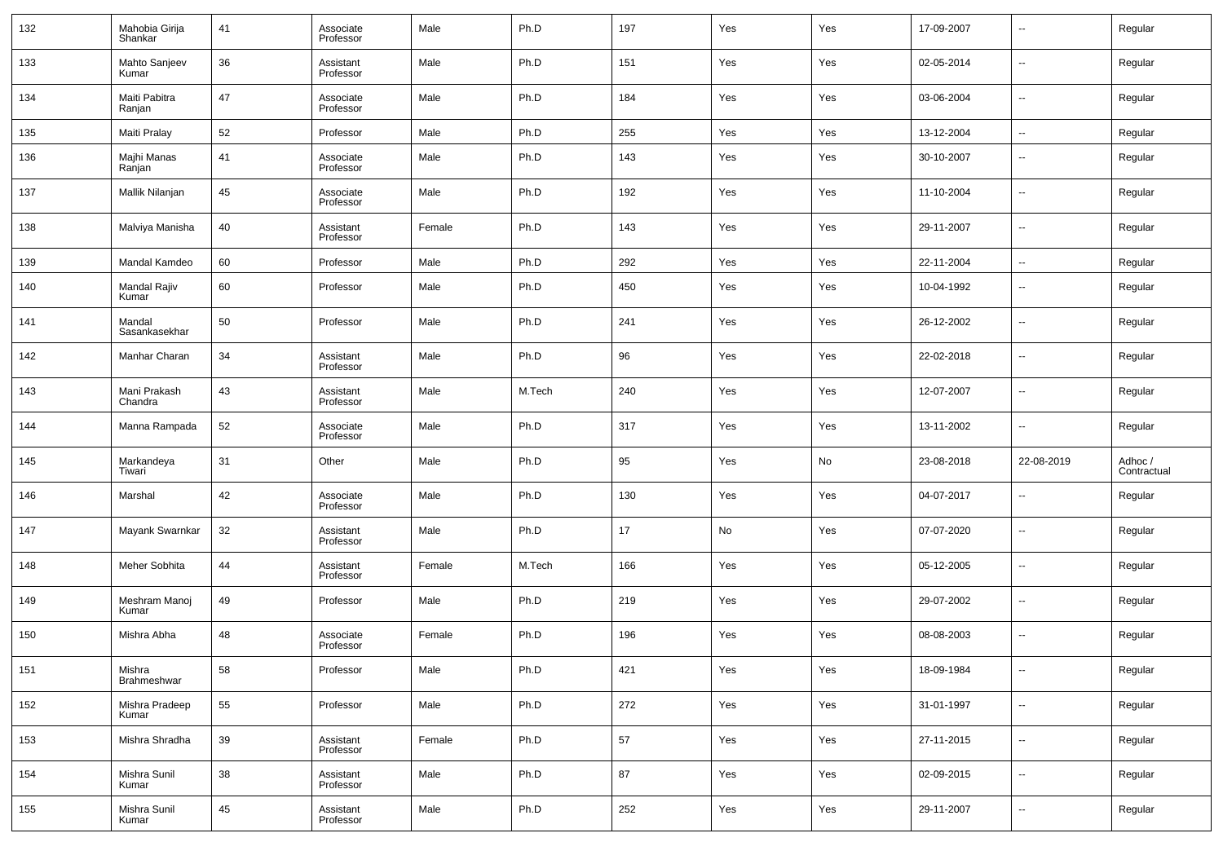| 132 | Mahobia Girija<br>Shankar | 41 | Associate<br>Professor | Male   | Ph.D   | 197 | Yes | Yes | 17-09-2007 | $\overline{\phantom{a}}$ | Regular                |
|-----|---------------------------|----|------------------------|--------|--------|-----|-----|-----|------------|--------------------------|------------------------|
| 133 | Mahto Sanjeev<br>Kumar    | 36 | Assistant<br>Professor | Male   | Ph.D   | 151 | Yes | Yes | 02-05-2014 | $\overline{\phantom{a}}$ | Regular                |
| 134 | Maiti Pabitra<br>Ranjan   | 47 | Associate<br>Professor | Male   | Ph.D   | 184 | Yes | Yes | 03-06-2004 | $\overline{\phantom{a}}$ | Regular                |
| 135 | Maiti Pralay              | 52 | Professor              | Male   | Ph.D   | 255 | Yes | Yes | 13-12-2004 | $\overline{\phantom{a}}$ | Regular                |
| 136 | Majhi Manas<br>Ranjan     | 41 | Associate<br>Professor | Male   | Ph.D   | 143 | Yes | Yes | 30-10-2007 | $\overline{\phantom{a}}$ | Regular                |
| 137 | Mallik Nilanjan           | 45 | Associate<br>Professor | Male   | Ph.D   | 192 | Yes | Yes | 11-10-2004 | $\overline{\phantom{a}}$ | Regular                |
| 138 | Malviya Manisha           | 40 | Assistant<br>Professor | Female | Ph.D   | 143 | Yes | Yes | 29-11-2007 | $\overline{\phantom{a}}$ | Regular                |
| 139 | Mandal Kamdeo             | 60 | Professor              | Male   | Ph.D   | 292 | Yes | Yes | 22-11-2004 | $\overline{\phantom{a}}$ | Regular                |
| 140 | Mandal Rajiv<br>Kumar     | 60 | Professor              | Male   | Ph.D   | 450 | Yes | Yes | 10-04-1992 | $\sim$                   | Regular                |
| 141 | Mandal<br>Sasankasekhar   | 50 | Professor              | Male   | Ph.D   | 241 | Yes | Yes | 26-12-2002 | $\overline{\phantom{a}}$ | Regular                |
| 142 | Manhar Charan             | 34 | Assistant<br>Professor | Male   | Ph.D   | 96  | Yes | Yes | 22-02-2018 | $\overline{\phantom{a}}$ | Regular                |
| 143 | Mani Prakash<br>Chandra   | 43 | Assistant<br>Professor | Male   | M.Tech | 240 | Yes | Yes | 12-07-2007 | $\overline{\phantom{a}}$ | Regular                |
| 144 | Manna Rampada             | 52 | Associate<br>Professor | Male   | Ph.D   | 317 | Yes | Yes | 13-11-2002 | $\overline{\phantom{a}}$ | Regular                |
| 145 | Markandeya<br>Tiwari      | 31 | Other                  | Male   | Ph.D   | 95  | Yes | No  | 23-08-2018 | 22-08-2019               | Adhoc /<br>Contractual |
| 146 | Marshal                   | 42 | Associate<br>Professor | Male   | Ph.D   | 130 | Yes | Yes | 04-07-2017 | --                       | Regular                |
| 147 | Mayank Swarnkar           | 32 | Assistant<br>Professor | Male   | Ph.D   | 17  | No  | Yes | 07-07-2020 | $\overline{\phantom{a}}$ | Regular                |
| 148 | Meher Sobhita             | 44 | Assistant<br>Professor | Female | M.Tech | 166 | Yes | Yes | 05-12-2005 | $\overline{\phantom{a}}$ | Regular                |
| 149 | Meshram Manoj<br>Kumar    | 49 | Professor              | Male   | Ph.D   | 219 | Yes | Yes | 29-07-2002 | $\sim$                   | Regular                |
| 150 | Mishra Abha               | 48 | Associate<br>Professor | Female | Ph.D   | 196 | Yes | Yes | 08-08-2003 | $\overline{\phantom{a}}$ | Regular                |
| 151 | Mishra<br>Brahmeshwar     | 58 | Professor              | Male   | Ph.D   | 421 | Yes | Yes | 18-09-1984 | $\overline{\phantom{a}}$ | Regular                |
| 152 | Mishra Pradeep<br>Kumar   | 55 | Professor              | Male   | Ph.D   | 272 | Yes | Yes | 31-01-1997 | $\overline{\phantom{a}}$ | Regular                |
| 153 | Mishra Shradha            | 39 | Assistant<br>Professor | Female | Ph.D   | 57  | Yes | Yes | 27-11-2015 | $\overline{\phantom{a}}$ | Regular                |
| 154 | Mishra Sunil<br>Kumar     | 38 | Assistant<br>Professor | Male   | Ph.D   | 87  | Yes | Yes | 02-09-2015 | $\overline{\phantom{a}}$ | Regular                |
| 155 | Mishra Sunil<br>Kumar     | 45 | Assistant<br>Professor | Male   | Ph.D   | 252 | Yes | Yes | 29-11-2007 | ۰.                       | Regular                |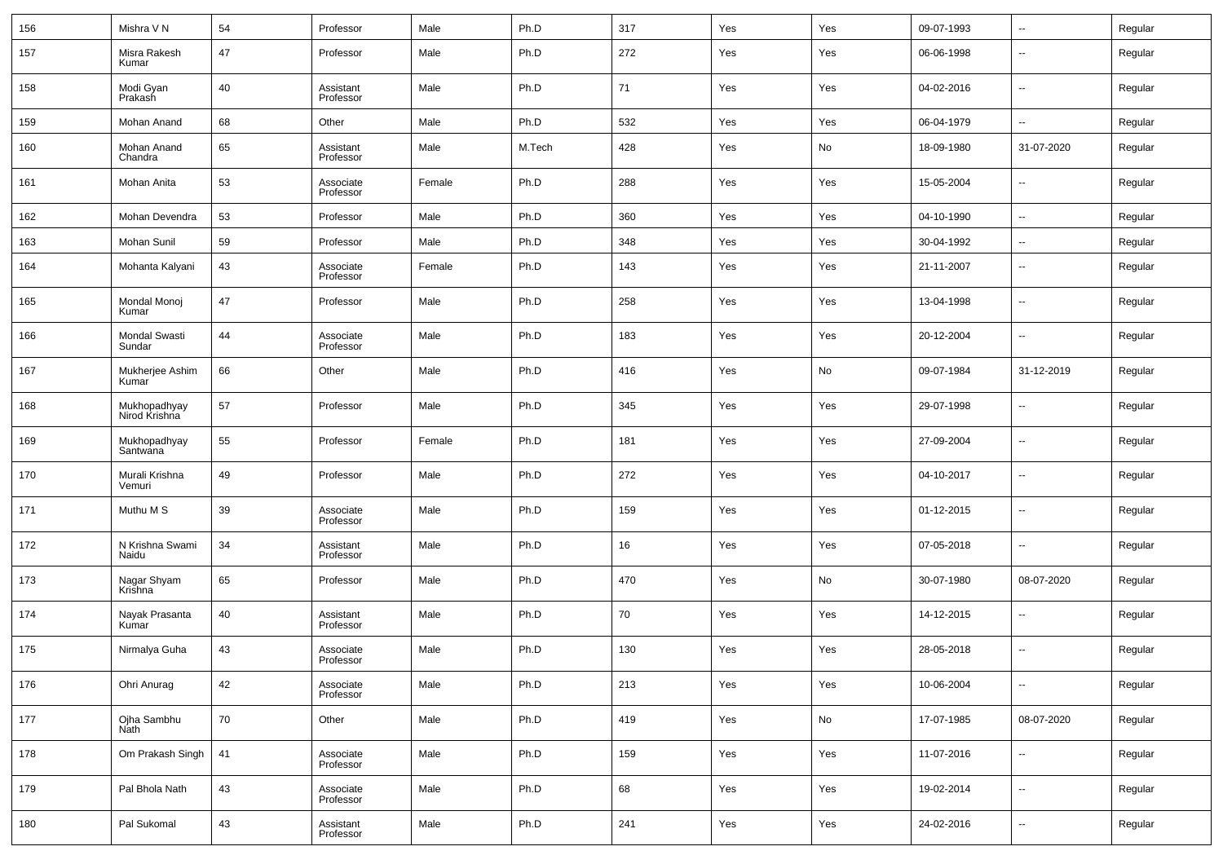| 156 | Mishra V N                     | 54 | Professor              | Male   | Ph.D   | 317 | Yes | Yes | 09-07-1993 | $\overline{\phantom{a}}$ | Regular |
|-----|--------------------------------|----|------------------------|--------|--------|-----|-----|-----|------------|--------------------------|---------|
| 157 | Misra Rakesh<br>Kumar          | 47 | Professor              | Male   | Ph.D   | 272 | Yes | Yes | 06-06-1998 | $\overline{\phantom{a}}$ | Regular |
| 158 | Modi Gyan<br>Prakash           | 40 | Assistant<br>Professor | Male   | Ph.D   | 71  | Yes | Yes | 04-02-2016 | $\overline{\phantom{a}}$ | Regular |
| 159 | Mohan Anand                    | 68 | Other                  | Male   | Ph.D   | 532 | Yes | Yes | 06-04-1979 | $\overline{\phantom{a}}$ | Regular |
| 160 | Mohan Anand<br>Chandra         | 65 | Assistant<br>Professor | Male   | M.Tech | 428 | Yes | No  | 18-09-1980 | 31-07-2020               | Regular |
| 161 | Mohan Anita                    | 53 | Associate<br>Professor | Female | Ph.D   | 288 | Yes | Yes | 15-05-2004 | $\overline{\phantom{a}}$ | Regular |
| 162 | Mohan Devendra                 | 53 | Professor              | Male   | Ph.D   | 360 | Yes | Yes | 04-10-1990 | $\overline{\phantom{a}}$ | Regular |
| 163 | Mohan Sunil                    | 59 | Professor              | Male   | Ph.D   | 348 | Yes | Yes | 30-04-1992 | $\overline{\phantom{a}}$ | Regular |
| 164 | Mohanta Kalyani                | 43 | Associate<br>Professor | Female | Ph.D   | 143 | Yes | Yes | 21-11-2007 | $\overline{\phantom{a}}$ | Regular |
| 165 | Mondal Monoj<br>Kumar          | 47 | Professor              | Male   | Ph.D   | 258 | Yes | Yes | 13-04-1998 | $\overline{\phantom{a}}$ | Regular |
| 166 | <b>Mondal Swasti</b><br>Sundar | 44 | Associate<br>Professor | Male   | Ph.D   | 183 | Yes | Yes | 20-12-2004 | $\overline{\phantom{a}}$ | Regular |
| 167 | Mukherjee Ashim<br>Kumar       | 66 | Other                  | Male   | Ph.D   | 416 | Yes | No  | 09-07-1984 | 31-12-2019               | Regular |
| 168 | Mukhopadhyay<br>Nirod Krishna  | 57 | Professor              | Male   | Ph.D   | 345 | Yes | Yes | 29-07-1998 | $\overline{\phantom{a}}$ | Regular |
| 169 | Mukhopadhyay<br>Santwana       | 55 | Professor              | Female | Ph.D   | 181 | Yes | Yes | 27-09-2004 | $\overline{\phantom{a}}$ | Regular |
| 170 | Murali Krishna<br>Vemuri       | 49 | Professor              | Male   | Ph.D   | 272 | Yes | Yes | 04-10-2017 | $\overline{\phantom{a}}$ | Regular |
| 171 | Muthu M S                      | 39 | Associate<br>Professor | Male   | Ph.D   | 159 | Yes | Yes | 01-12-2015 | $\overline{\phantom{a}}$ | Regular |
| 172 | N Krishna Swami<br>Naidu       | 34 | Assistant<br>Professor | Male   | Ph.D   | 16  | Yes | Yes | 07-05-2018 | $\overline{\phantom{a}}$ | Regular |
| 173 | Nagar Shyam<br>Krishna         | 65 | Professor              | Male   | Ph.D   | 470 | Yes | No  | 30-07-1980 | 08-07-2020               | Regular |
| 174 | Nayak Prasanta<br>Kumar        | 40 | Assistant<br>Professor | Male   | Ph.D   | 70  | Yes | Yes | 14-12-2015 | $\overline{\phantom{a}}$ | Regular |
| 175 | Nirmalya Guha                  | 43 | Associate<br>Professor | Male   | Ph.D   | 130 | Yes | Yes | 28-05-2018 | $\overline{\phantom{a}}$ | Regular |
| 176 | Ohri Anurag                    | 42 | Associate<br>Professor | Male   | Ph.D   | 213 | Yes | Yes | 10-06-2004 | $\overline{\phantom{a}}$ | Regular |
| 177 | Ojha Sambhu<br>Nath            | 70 | Other                  | Male   | Ph.D   | 419 | Yes | No  | 17-07-1985 | 08-07-2020               | Regular |
| 178 | Om Prakash Singh               | 41 | Associate<br>Professor | Male   | Ph.D   | 159 | Yes | Yes | 11-07-2016 | $\overline{\phantom{a}}$ | Regular |
| 179 | Pal Bhola Nath                 | 43 | Associate<br>Professor | Male   | Ph.D   | 68  | Yes | Yes | 19-02-2014 | $\overline{\phantom{a}}$ | Regular |
| 180 | Pal Sukomal                    | 43 | Assistant<br>Professor | Male   | Ph.D   | 241 | Yes | Yes | 24-02-2016 | $\overline{\phantom{a}}$ | Regular |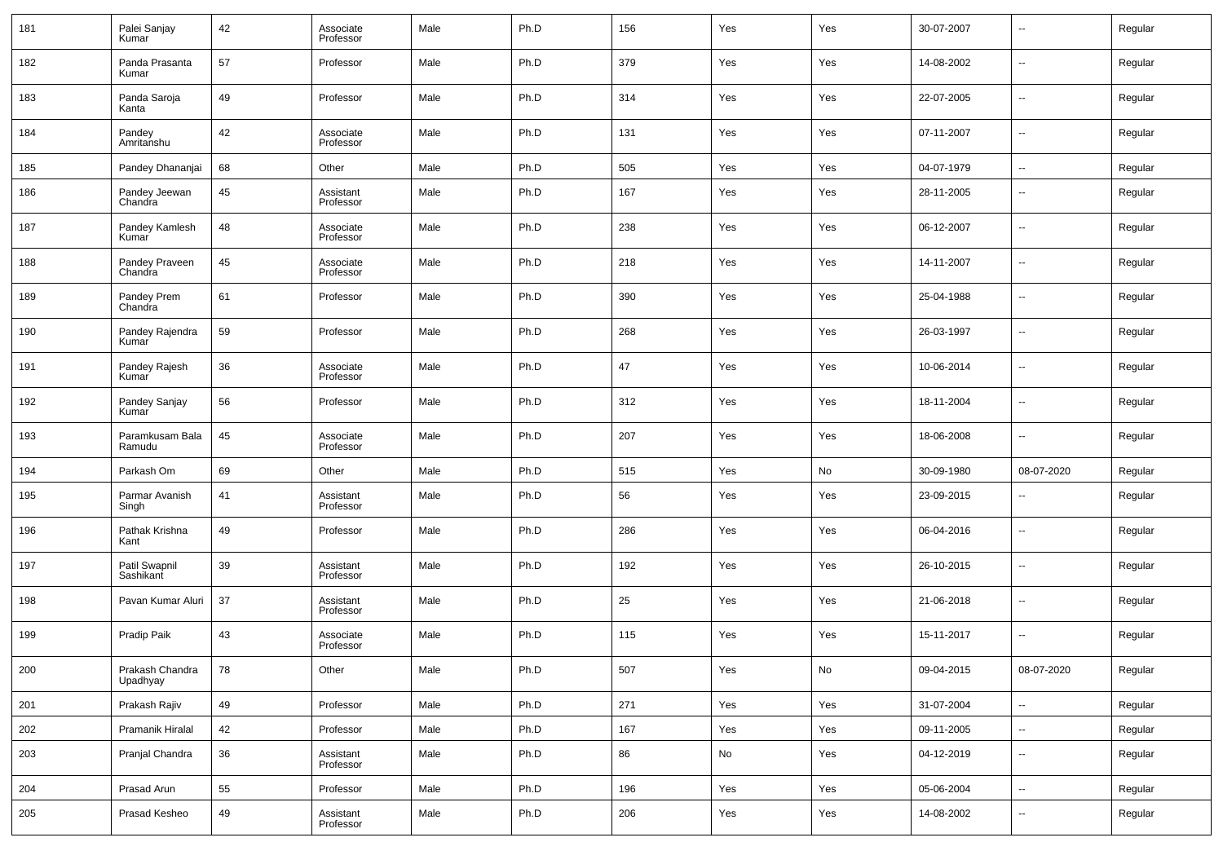| 181 | Palei Sanjay<br>Kumar       | 42 | Associate<br>Professor | Male | Ph.D | 156 | Yes | Yes | 30-07-2007 | $\overline{\phantom{a}}$ | Regular |
|-----|-----------------------------|----|------------------------|------|------|-----|-----|-----|------------|--------------------------|---------|
| 182 | Panda Prasanta<br>Kumar     | 57 | Professor              | Male | Ph.D | 379 | Yes | Yes | 14-08-2002 | $\overline{\phantom{a}}$ | Regular |
| 183 | Panda Saroja<br>Kanta       | 49 | Professor              | Male | Ph.D | 314 | Yes | Yes | 22-07-2005 | $\overline{\phantom{a}}$ | Regular |
| 184 | Pandey<br>Amritanshu        | 42 | Associate<br>Professor | Male | Ph.D | 131 | Yes | Yes | 07-11-2007 | $\overline{\phantom{a}}$ | Regular |
| 185 | Pandey Dhananjai            | 68 | Other                  | Male | Ph.D | 505 | Yes | Yes | 04-07-1979 | $\overline{\phantom{a}}$ | Regular |
| 186 | Pandey Jeewan<br>Chandra    | 45 | Assistant<br>Professor | Male | Ph.D | 167 | Yes | Yes | 28-11-2005 | $\overline{\phantom{a}}$ | Regular |
| 187 | Pandey Kamlesh<br>Kumar     | 48 | Associate<br>Professor | Male | Ph.D | 238 | Yes | Yes | 06-12-2007 | --                       | Regular |
| 188 | Pandey Praveen<br>Chandra   | 45 | Associate<br>Professor | Male | Ph.D | 218 | Yes | Yes | 14-11-2007 | $\overline{\phantom{a}}$ | Regular |
| 189 | Pandey Prem<br>Chandra      | 61 | Professor              | Male | Ph.D | 390 | Yes | Yes | 25-04-1988 | $\overline{\phantom{a}}$ | Regular |
| 190 | Pandey Rajendra<br>Kumar    | 59 | Professor              | Male | Ph.D | 268 | Yes | Yes | 26-03-1997 | $\overline{\phantom{a}}$ | Regular |
| 191 | Pandey Rajesh<br>Kumar      | 36 | Associate<br>Professor | Male | Ph.D | 47  | Yes | Yes | 10-06-2014 | $\overline{\phantom{a}}$ | Regular |
| 192 | Pandey Sanjay<br>Kumar      | 56 | Professor              | Male | Ph.D | 312 | Yes | Yes | 18-11-2004 | $\overline{\phantom{a}}$ | Regular |
| 193 | Paramkusam Bala<br>Ramudu   | 45 | Associate<br>Professor | Male | Ph.D | 207 | Yes | Yes | 18-06-2008 | $\overline{\phantom{a}}$ | Regular |
| 194 | Parkash Om                  | 69 | Other                  | Male | Ph.D | 515 | Yes | No  | 30-09-1980 | 08-07-2020               | Regular |
| 195 | Parmar Avanish<br>Singh     | 41 | Assistant<br>Professor | Male | Ph.D | 56  | Yes | Yes | 23-09-2015 | $\sim$                   | Regular |
| 196 | Pathak Krishna<br>Kant      | 49 | Professor              | Male | Ph.D | 286 | Yes | Yes | 06-04-2016 | $\overline{\phantom{a}}$ | Regular |
| 197 | Patil Swapnil<br>Sashikant  | 39 | Assistant<br>Professor | Male | Ph.D | 192 | Yes | Yes | 26-10-2015 | $\overline{\phantom{a}}$ | Regular |
| 198 | Pavan Kumar Aluri           | 37 | Assistant<br>Professor | Male | Ph.D | 25  | Yes | Yes | 21-06-2018 | $\sim$                   | Regular |
| 199 | Pradip Paik                 | 43 | Associate<br>Professor | Male | Ph.D | 115 | Yes | Yes | 15-11-2017 | $\overline{\phantom{a}}$ | Regular |
| 200 | Prakash Chandra<br>Upadhyay | 78 | Other                  | Male | Ph.D | 507 | Yes | No  | 09-04-2015 | 08-07-2020               | Regular |
| 201 | Prakash Rajiv               | 49 | Professor              | Male | Ph.D | 271 | Yes | Yes | 31-07-2004 | $\overline{\phantom{a}}$ | Regular |
| 202 | Pramanik Hiralal            | 42 | Professor              | Male | Ph.D | 167 | Yes | Yes | 09-11-2005 | $\overline{\phantom{a}}$ | Regular |
| 203 | Pranjal Chandra             | 36 | Assistant<br>Professor | Male | Ph.D | 86  | No  | Yes | 04-12-2019 | ۰.                       | Regular |
| 204 | Prasad Arun                 | 55 | Professor              | Male | Ph.D | 196 | Yes | Yes | 05-06-2004 | $\overline{\phantom{a}}$ | Regular |
| 205 | Prasad Kesheo               | 49 | Assistant<br>Professor | Male | Ph.D | 206 | Yes | Yes | 14-08-2002 | ۰.                       | Regular |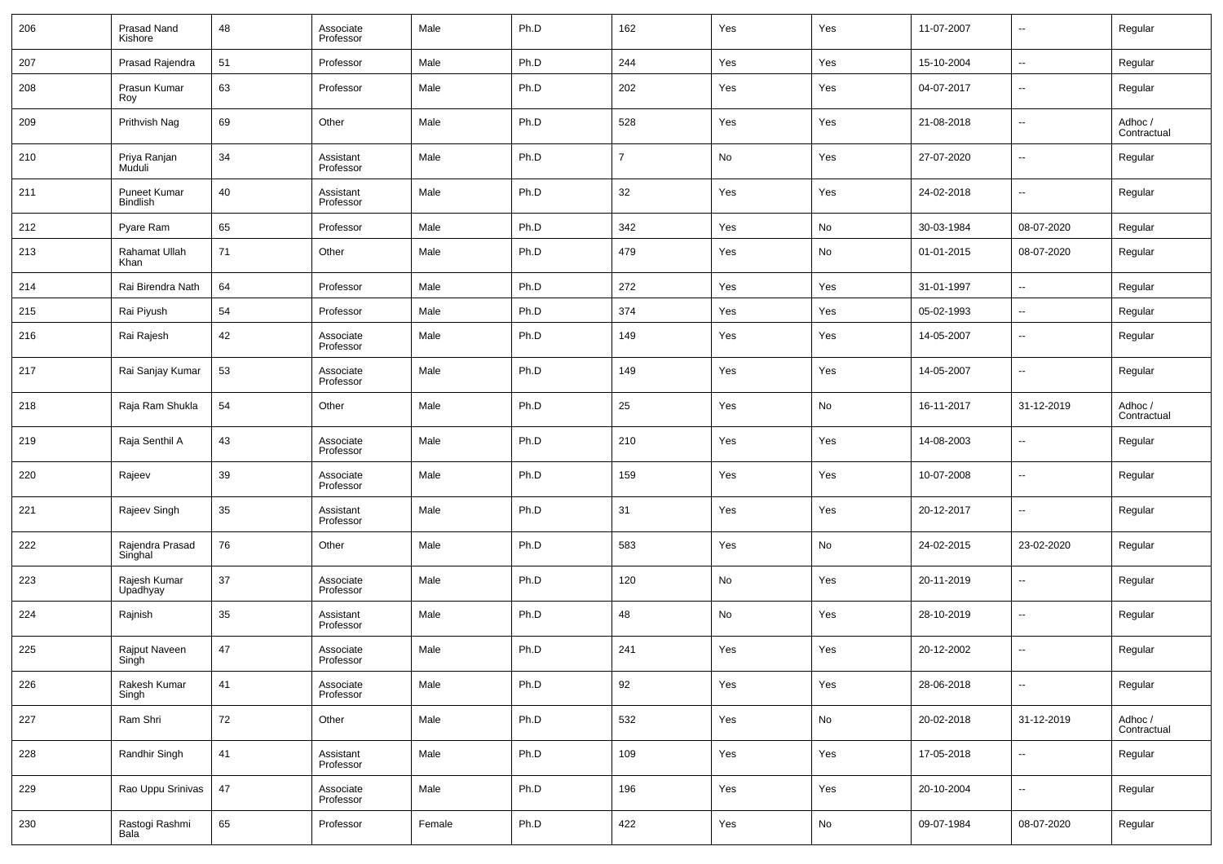| 206 | Prasad Nand<br>Kishore          | 48 | Associate<br>Professor | Male   | Ph.D | 162            | Yes | Yes | 11-07-2007 | $\overline{\phantom{a}}$     | Regular                |
|-----|---------------------------------|----|------------------------|--------|------|----------------|-----|-----|------------|------------------------------|------------------------|
| 207 | Prasad Rajendra                 | 51 | Professor              | Male   | Ph.D | 244            | Yes | Yes | 15-10-2004 | $\overline{\phantom{a}}$     | Regular                |
| 208 | Prasun Kumar<br>Roy             | 63 | Professor              | Male   | Ph.D | 202            | Yes | Yes | 04-07-2017 | $\overline{\phantom{a}}$     | Regular                |
| 209 | Prithvish Nag                   | 69 | Other                  | Male   | Ph.D | 528            | Yes | Yes | 21-08-2018 | $\overline{\phantom{a}}$     | Adhoc /<br>Contractual |
| 210 | Priya Ranjan<br>Muduli          | 34 | Assistant<br>Professor | Male   | Ph.D | $\overline{7}$ | No  | Yes | 27-07-2020 | $\overline{\phantom{a}}$     | Regular                |
| 211 | Puneet Kumar<br><b>Bindlish</b> | 40 | Assistant<br>Professor | Male   | Ph.D | 32             | Yes | Yes | 24-02-2018 | $\overline{\phantom{a}}$     | Regular                |
| 212 | Pyare Ram                       | 65 | Professor              | Male   | Ph.D | 342            | Yes | No  | 30-03-1984 | 08-07-2020                   | Regular                |
| 213 | Rahamat Ullah<br>Khan           | 71 | Other                  | Male   | Ph.D | 479            | Yes | No  | 01-01-2015 | 08-07-2020                   | Regular                |
| 214 | Rai Birendra Nath               | 64 | Professor              | Male   | Ph.D | 272            | Yes | Yes | 31-01-1997 | $\overline{\phantom{a}}$     | Regular                |
| 215 | Rai Piyush                      | 54 | Professor              | Male   | Ph.D | 374            | Yes | Yes | 05-02-1993 | $\overline{\phantom{a}}$     | Regular                |
| 216 | Rai Rajesh                      | 42 | Associate<br>Professor | Male   | Ph.D | 149            | Yes | Yes | 14-05-2007 | $\overline{\phantom{a}}$     | Regular                |
| 217 | Rai Sanjay Kumar                | 53 | Associate<br>Professor | Male   | Ph.D | 149            | Yes | Yes | 14-05-2007 | $\overline{\phantom{a}}$     | Regular                |
| 218 | Raja Ram Shukla                 | 54 | Other                  | Male   | Ph.D | 25             | Yes | No  | 16-11-2017 | 31-12-2019                   | Adhoc /<br>Contractual |
| 219 | Raja Senthil A                  | 43 | Associate<br>Professor | Male   | Ph.D | 210            | Yes | Yes | 14-08-2003 | $\overline{\phantom{a}}$     | Regular                |
| 220 | Rajeev                          | 39 | Associate<br>Professor | Male   | Ph.D | 159            | Yes | Yes | 10-07-2008 | $\overline{\phantom{a}}$     | Regular                |
| 221 | Rajeev Singh                    | 35 | Assistant<br>Professor | Male   | Ph.D | 31             | Yes | Yes | 20-12-2017 | $\overline{\phantom{a}}$     | Regular                |
| 222 | Rajendra Prasad<br>Singhal      | 76 | Other                  | Male   | Ph.D | 583            | Yes | No  | 24-02-2015 | 23-02-2020                   | Regular                |
| 223 | Rajesh Kumar<br>Upadhyay        | 37 | Associate<br>Professor | Male   | Ph.D | 120            | No  | Yes | 20-11-2019 | $\overline{\phantom{a}}$     | Regular                |
| 224 | Rajnish                         | 35 | Assistant<br>Professor | Male   | Ph.D | 48             | No  | Yes | 28-10-2019 | $\overline{\phantom{a}}$     | Regular                |
| 225 | Rajput Naveen<br>Singh          | 47 | Associate<br>Professor | Male   | Ph.D | 241            | Yes | Yes | 20-12-2002 | $\overline{\phantom{a}}$     | Regular                |
| 226 | Rakesh Kumar<br>Singh           | 41 | Associate<br>Professor | Male   | Ph.D | 92             | Yes | Yes | 28-06-2018 | $\qquad \qquad \blacksquare$ | Regular                |
| 227 | Ram Shri                        | 72 | Other                  | Male   | Ph.D | 532            | Yes | No  | 20-02-2018 | 31-12-2019                   | Adhoc /<br>Contractual |
| 228 | Randhir Singh                   | 41 | Assistant<br>Professor | Male   | Ph.D | 109            | Yes | Yes | 17-05-2018 | $\qquad \qquad \blacksquare$ | Regular                |
| 229 | Rao Uppu Srinivas               | 47 | Associate<br>Professor | Male   | Ph.D | 196            | Yes | Yes | 20-10-2004 | $\qquad \qquad \blacksquare$ | Regular                |
| 230 | Rastogi Rashmi<br>Bala          | 65 | Professor              | Female | Ph.D | 422            | Yes | No  | 09-07-1984 | 08-07-2020                   | Regular                |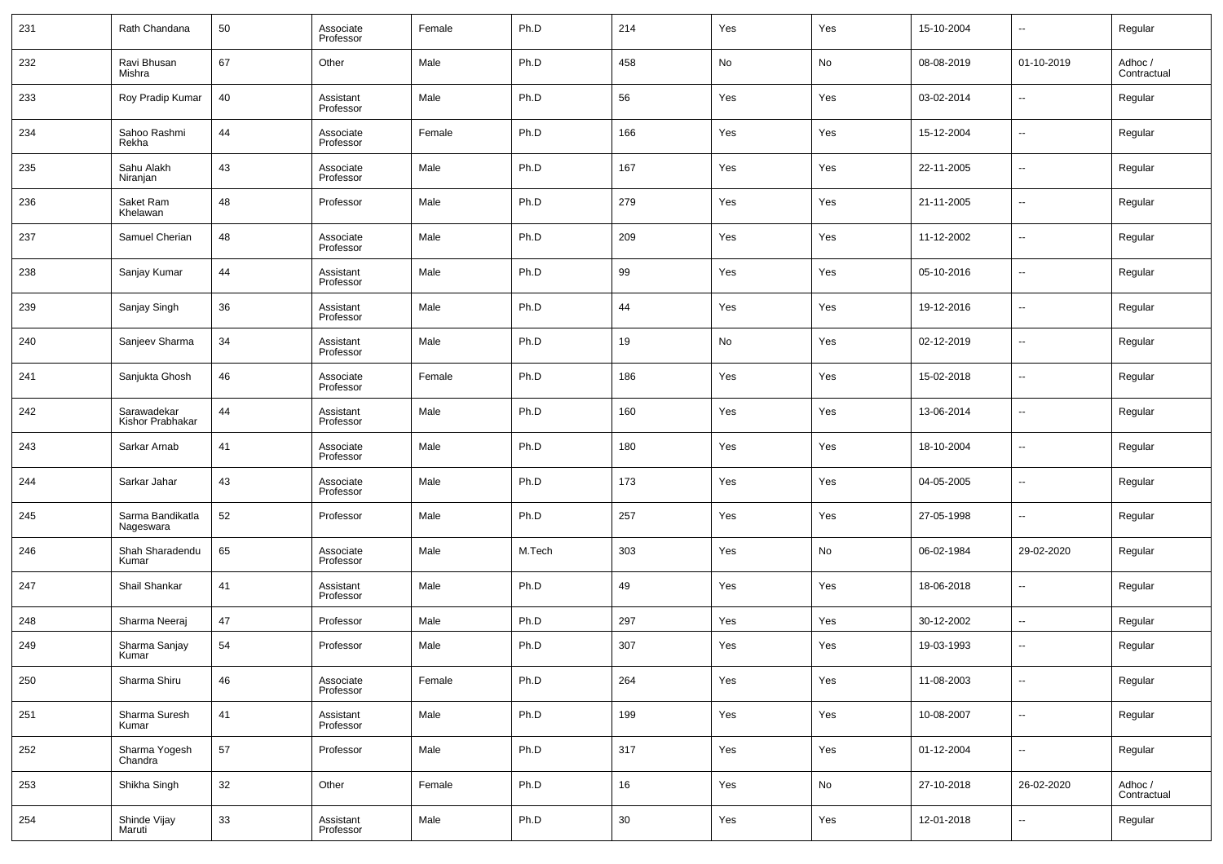| 231 | Rath Chandana                   | 50 | Associate<br>Professor | Female | Ph.D   | 214    | Yes | Yes | 15-10-2004 | --                       | Regular                |
|-----|---------------------------------|----|------------------------|--------|--------|--------|-----|-----|------------|--------------------------|------------------------|
| 232 | Ravi Bhusan<br>Mishra           | 67 | Other                  | Male   | Ph.D   | 458    | No  | No  | 08-08-2019 | 01-10-2019               | Adhoc /<br>Contractual |
| 233 | Roy Pradip Kumar                | 40 | Assistant<br>Professor | Male   | Ph.D   | 56     | Yes | Yes | 03-02-2014 | --                       | Regular                |
| 234 | Sahoo Rashmi<br>Rekha           | 44 | Associate<br>Professor | Female | Ph.D   | 166    | Yes | Yes | 15-12-2004 | --                       | Regular                |
| 235 | Sahu Alakh<br>Niranjan          | 43 | Associate<br>Professor | Male   | Ph.D   | 167    | Yes | Yes | 22-11-2005 | ш,                       | Regular                |
| 236 | Saket Ram<br>Khelawan           | 48 | Professor              | Male   | Ph.D   | 279    | Yes | Yes | 21-11-2005 | --                       | Regular                |
| 237 | Samuel Cherian                  | 48 | Associate<br>Professor | Male   | Ph.D   | 209    | Yes | Yes | 11-12-2002 | ш,                       | Regular                |
| 238 | Sanjay Kumar                    | 44 | Assistant<br>Professor | Male   | Ph.D   | 99     | Yes | Yes | 05-10-2016 | --                       | Regular                |
| 239 | Sanjay Singh                    | 36 | Assistant<br>Professor | Male   | Ph.D   | 44     | Yes | Yes | 19-12-2016 | ш,                       | Regular                |
| 240 | Sanjeev Sharma                  | 34 | Assistant<br>Professor | Male   | Ph.D   | 19     | No  | Yes | 02-12-2019 | --                       | Regular                |
| 241 | Sanjukta Ghosh                  | 46 | Associate<br>Professor | Female | Ph.D   | 186    | Yes | Yes | 15-02-2018 | ш,                       | Regular                |
| 242 | Sarawadekar<br>Kishor Prabhakar | 44 | Assistant<br>Professor | Male   | Ph.D   | 160    | Yes | Yes | 13-06-2014 | --                       | Regular                |
| 243 | Sarkar Arnab                    | 41 | Associate<br>Professor | Male   | Ph.D   | 180    | Yes | Yes | 18-10-2004 | --                       | Regular                |
| 244 | Sarkar Jahar                    | 43 | Associate<br>Professor | Male   | Ph.D   | 173    | Yes | Yes | 04-05-2005 | --                       | Regular                |
| 245 | Sarma Bandikatla<br>Nageswara   | 52 | Professor              | Male   | Ph.D   | 257    | Yes | Yes | 27-05-1998 | ш,                       | Regular                |
| 246 | Shah Sharadendu<br>Kumar        | 65 | Associate<br>Professor | Male   | M.Tech | 303    | Yes | No  | 06-02-1984 | 29-02-2020               | Regular                |
| 247 | Shail Shankar                   | 41 | Assistant<br>Professor | Male   | Ph.D   | 49     | Yes | Yes | 18-06-2018 | ш,                       | Regular                |
| 248 | Sharma Neeraj                   | 47 | Professor              | Male   | Ph.D   | 297    | Yes | Yes | 30-12-2002 | --                       | Regular                |
| 249 | Sharma Sanjay<br>Kumar          | 54 | Professor              | Male   | Ph.D   | 307    | Yes | Yes | 19-03-1993 | --                       | Regular                |
| 250 | Sharma Shiru                    | 46 | Associate<br>Professor | Female | Ph.D   | 264    | Yes | Yes | 11-08-2003 | $\sim$                   | Regular                |
| 251 | Sharma Suresh<br>Kumar          | 41 | Assistant<br>Professor | Male   | Ph.D   | 199    | Yes | Yes | 10-08-2007 | $\overline{\phantom{a}}$ | Regular                |
| 252 | Sharma Yogesh<br>Chandra        | 57 | Professor              | Male   | Ph.D   | 317    | Yes | Yes | 01-12-2004 | $\sim$                   | Regular                |
| 253 | Shikha Singh                    | 32 | Other                  | Female | Ph.D   | 16     | Yes | No  | 27-10-2018 | 26-02-2020               | Adhoc /<br>Contractual |
| 254 | Shinde Vijay<br>Maruti          | 33 | Assistant<br>Professor | Male   | Ph.D   | $30\,$ | Yes | Yes | 12-01-2018 | $\sim$                   | Regular                |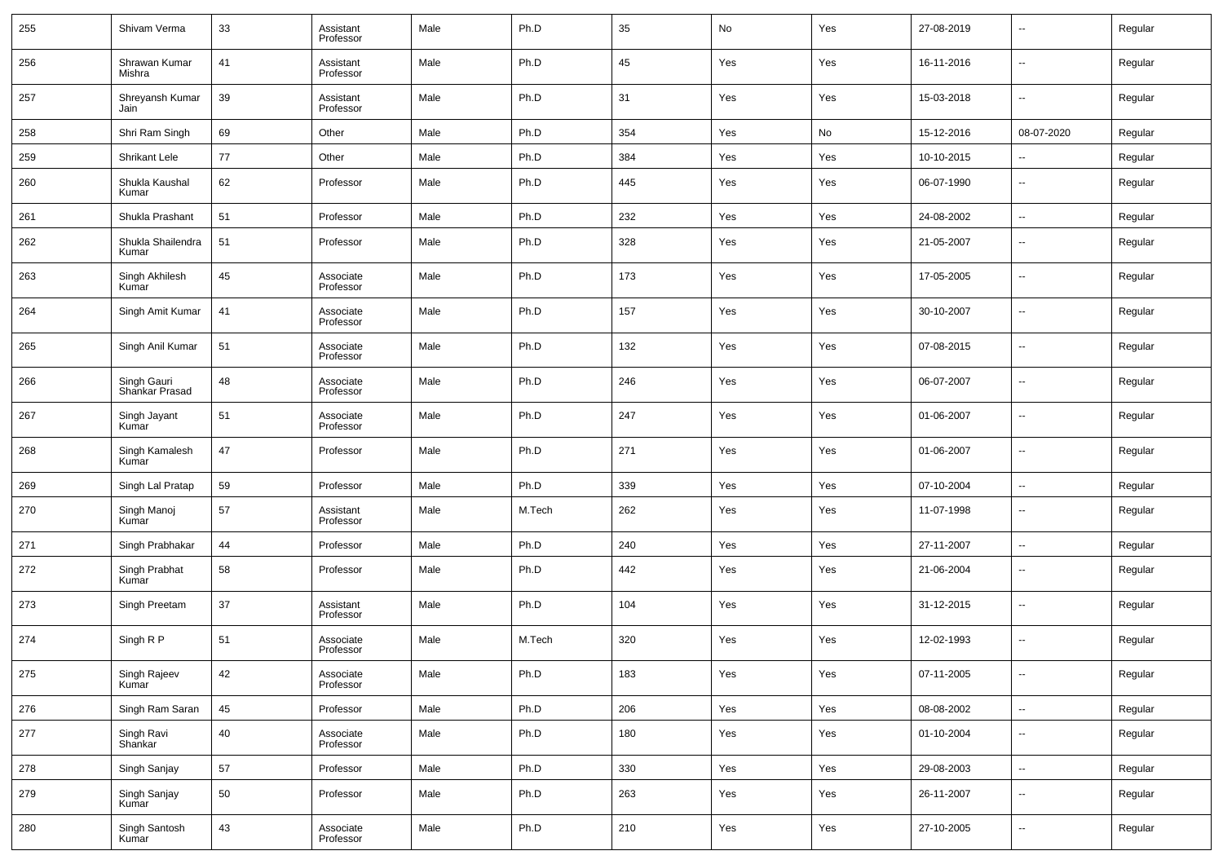| 255 | Shivam Verma                  | 33 | Assistant<br>Professor | Male | Ph.D   | 35  | No  | Yes | 27-08-2019 | ⊷                        | Regular |
|-----|-------------------------------|----|------------------------|------|--------|-----|-----|-----|------------|--------------------------|---------|
| 256 | Shrawan Kumar<br>Mishra       | 41 | Assistant<br>Professor | Male | Ph.D   | 45  | Yes | Yes | 16-11-2016 | $\overline{\phantom{a}}$ | Regular |
| 257 | Shreyansh Kumar<br>Jain       | 39 | Assistant<br>Professor | Male | Ph.D   | 31  | Yes | Yes | 15-03-2018 | ⊷                        | Regular |
| 258 | Shri Ram Singh                | 69 | Other                  | Male | Ph.D   | 354 | Yes | No  | 15-12-2016 | 08-07-2020               | Regular |
| 259 | Shrikant Lele                 | 77 | Other                  | Male | Ph.D   | 384 | Yes | Yes | 10-10-2015 | н.                       | Regular |
| 260 | Shukla Kaushal<br>Kumar       | 62 | Professor              | Male | Ph.D   | 445 | Yes | Yes | 06-07-1990 | --                       | Regular |
| 261 | Shukla Prashant               | 51 | Professor              | Male | Ph.D   | 232 | Yes | Yes | 24-08-2002 | $\overline{\phantom{a}}$ | Regular |
| 262 | Shukla Shailendra<br>Kumar    | 51 | Professor              | Male | Ph.D   | 328 | Yes | Yes | 21-05-2007 | $\overline{\phantom{a}}$ | Regular |
| 263 | Singh Akhilesh<br>Kumar       | 45 | Associate<br>Professor | Male | Ph.D   | 173 | Yes | Yes | 17-05-2005 | -−                       | Regular |
| 264 | Singh Amit Kumar              | 41 | Associate<br>Professor | Male | Ph.D   | 157 | Yes | Yes | 30-10-2007 | $\overline{\phantom{a}}$ | Regular |
| 265 | Singh Anil Kumar              | 51 | Associate<br>Professor | Male | Ph.D   | 132 | Yes | Yes | 07-08-2015 | $\overline{\phantom{a}}$ | Regular |
| 266 | Singh Gauri<br>Shankar Prasad | 48 | Associate<br>Professor | Male | Ph.D   | 246 | Yes | Yes | 06-07-2007 | $\overline{\phantom{a}}$ | Regular |
| 267 | Singh Jayant<br>Kumar         | 51 | Associate<br>Professor | Male | Ph.D   | 247 | Yes | Yes | 01-06-2007 | -−                       | Regular |
| 268 | Singh Kamalesh<br>Kumar       | 47 | Professor              | Male | Ph.D   | 271 | Yes | Yes | 01-06-2007 | $\overline{\phantom{a}}$ | Regular |
| 269 | Singh Lal Pratap              | 59 | Professor              | Male | Ph.D   | 339 | Yes | Yes | 07-10-2004 | $\overline{\phantom{a}}$ | Regular |
| 270 | Singh Manoj<br>Kumar          | 57 | Assistant<br>Professor | Male | M.Tech | 262 | Yes | Yes | 11-07-1998 | $\overline{\phantom{a}}$ | Regular |
| 271 | Singh Prabhakar               | 44 | Professor              | Male | Ph.D   | 240 | Yes | Yes | 27-11-2007 | $\overline{\phantom{a}}$ | Regular |
| 272 | Singh Prabhat<br>Kumar        | 58 | Professor              | Male | Ph.D   | 442 | Yes | Yes | 21-06-2004 | --                       | Regular |
| 273 | Singh Preetam                 | 37 | Assistant<br>Professor | Male | Ph.D   | 104 | Yes | Yes | 31-12-2015 | --                       | Regular |
| 274 | Singh R P                     | 51 | Associate<br>Professor | Male | M.Tech | 320 | Yes | Yes | 12-02-1993 |                          | Regular |
| 275 | Singh Rajeev<br>Kumar         | 42 | Associate<br>Professor | Male | Ph.D   | 183 | Yes | Yes | 07-11-2005 | ⊶.                       | Regular |
| 276 | Singh Ram Saran               | 45 | Professor              | Male | Ph.D   | 206 | Yes | Yes | 08-08-2002 | н.                       | Regular |
| 277 | Singh Ravi<br>Shankar         | 40 | Associate<br>Professor | Male | Ph.D   | 180 | Yes | Yes | 01-10-2004 | $\sim$                   | Regular |
| 278 | Singh Sanjay                  | 57 | Professor              | Male | Ph.D   | 330 | Yes | Yes | 29-08-2003 | н.                       | Regular |
| 279 | Singh Sanjay<br>Kumar         | 50 | Professor              | Male | Ph.D   | 263 | Yes | Yes | 26-11-2007 | ⊷                        | Regular |
| 280 | Singh Santosh<br>Kumar        | 43 | Associate<br>Professor | Male | Ph.D   | 210 | Yes | Yes | 27-10-2005 | $\sim$                   | Regular |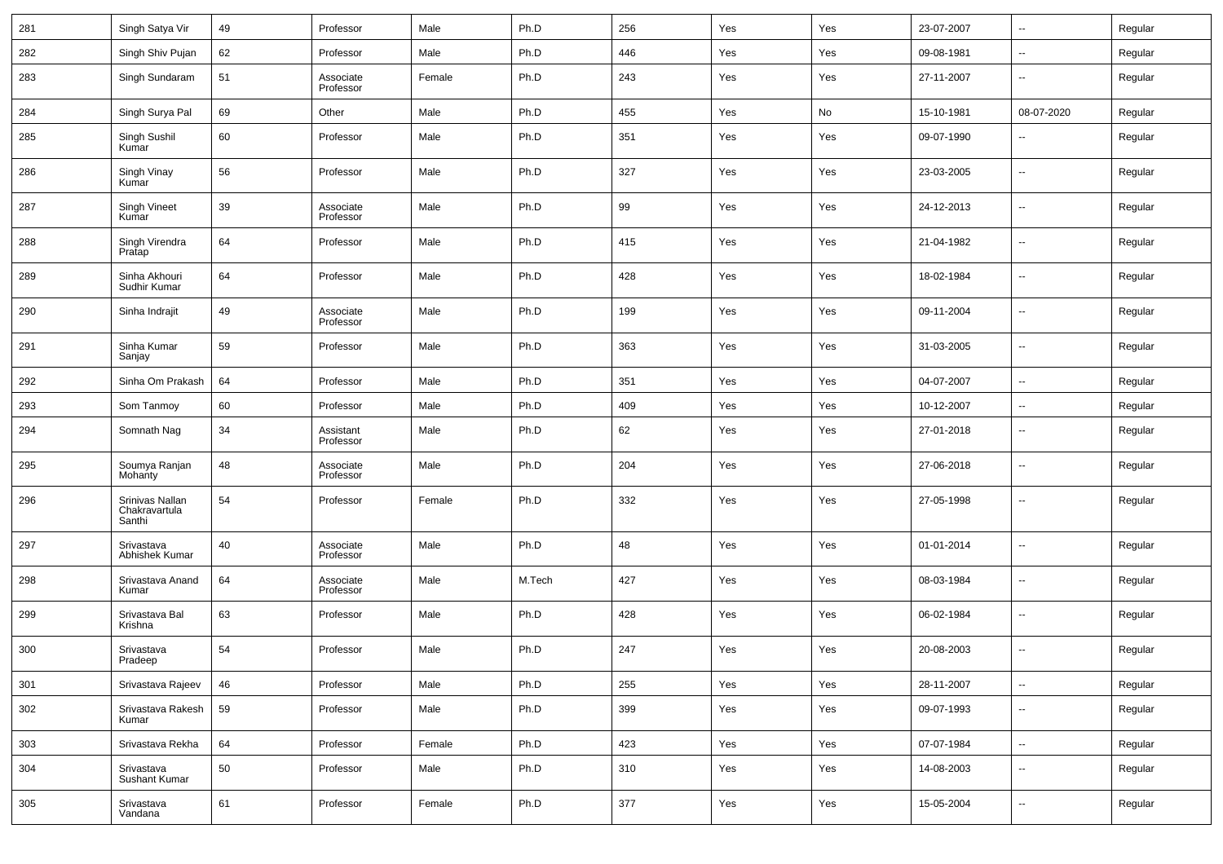| 281 | Singh Satya Vir                            | 49 | Professor              | Male   | Ph.D   | 256 | Yes | Yes | 23-07-2007 | --                       | Regular |
|-----|--------------------------------------------|----|------------------------|--------|--------|-----|-----|-----|------------|--------------------------|---------|
| 282 | Singh Shiv Pujan                           | 62 | Professor              | Male   | Ph.D   | 446 | Yes | Yes | 09-08-1981 | ÷.                       | Regular |
| 283 | Singh Sundaram                             | 51 | Associate<br>Professor | Female | Ph.D   | 243 | Yes | Yes | 27-11-2007 | --                       | Regular |
| 284 | Singh Surya Pal                            | 69 | Other                  | Male   | Ph.D   | 455 | Yes | No  | 15-10-1981 | 08-07-2020               | Regular |
| 285 | Singh Sushil<br>Kumar                      | 60 | Professor              | Male   | Ph.D   | 351 | Yes | Yes | 09-07-1990 | --                       | Regular |
| 286 | Singh Vinay<br>Kumar                       | 56 | Professor              | Male   | Ph.D   | 327 | Yes | Yes | 23-03-2005 | --                       | Regular |
| 287 | Singh Vineet<br>Kumar                      | 39 | Associate<br>Professor | Male   | Ph.D   | 99  | Yes | Yes | 24-12-2013 | --                       | Regular |
| 288 | Singh Virendra<br>Pratap                   | 64 | Professor              | Male   | Ph.D   | 415 | Yes | Yes | 21-04-1982 | $\overline{\phantom{a}}$ | Regular |
| 289 | Sinha Akhouri<br>Sudhir Kumar              | 64 | Professor              | Male   | Ph.D   | 428 | Yes | Yes | 18-02-1984 | --                       | Regular |
| 290 | Sinha Indrajit                             | 49 | Associate<br>Professor | Male   | Ph.D   | 199 | Yes | Yes | 09-11-2004 | $\overline{\phantom{a}}$ | Regular |
| 291 | Sinha Kumar<br>Sanjay                      | 59 | Professor              | Male   | Ph.D   | 363 | Yes | Yes | 31-03-2005 | --                       | Regular |
| 292 | Sinha Om Prakash                           | 64 | Professor              | Male   | Ph.D   | 351 | Yes | Yes | 04-07-2007 | $\overline{\phantom{a}}$ | Regular |
| 293 | Som Tanmoy                                 | 60 | Professor              | Male   | Ph.D   | 409 | Yes | Yes | 10-12-2007 | Ξ.                       | Regular |
| 294 | Somnath Nag                                | 34 | Assistant<br>Professor | Male   | Ph.D   | 62  | Yes | Yes | 27-01-2018 | $\overline{\phantom{a}}$ | Regular |
| 295 | Soumya Ranjan<br>Mohanty                   | 48 | Associate<br>Professor | Male   | Ph.D   | 204 | Yes | Yes | 27-06-2018 | $\overline{\phantom{a}}$ | Regular |
| 296 | Srinivas Nallan<br>Chakravartula<br>Santhi | 54 | Professor              | Female | Ph.D   | 332 | Yes | Yes | 27-05-1998 | $\overline{\phantom{a}}$ | Regular |
| 297 | Srivastava<br>Abhishek Kumar               | 40 | Associate<br>Professor | Male   | Ph.D   | 48  | Yes | Yes | 01-01-2014 | ÷.                       | Regular |
| 298 | Srivastava Anand<br>Kumar                  | 64 | Associate<br>Professor | Male   | M.Tech | 427 | Yes | Yes | 08-03-1984 | ÷.                       | Regular |
| 299 | Srivastava Bal<br>Krishna                  | 63 | Professor              | Male   | Ph.D   | 428 | Yes | Yes | 06-02-1984 | ÷.                       | Regular |
| 300 | Srivastava<br>Pradeep                      | 54 | Professor              | Male   | Ph.D   | 247 | Yes | Yes | 20-08-2003 | ÷.                       | Regular |
| 301 | Srivastava Rajeev                          | 46 | Professor              | Male   | Ph.D   | 255 | Yes | Yes | 28-11-2007 | Ξ.                       | Regular |
| 302 | Srivastava Rakesh<br>Kumar                 | 59 | Professor              | Male   | Ph.D   | 399 | Yes | Yes | 09-07-1993 | $\sim$                   | Regular |
| 303 | Srivastava Rekha                           | 64 | Professor              | Female | Ph.D   | 423 | Yes | Yes | 07-07-1984 | $\overline{\phantom{a}}$ | Regular |
| 304 | Srivastava<br>Sushant Kumar                | 50 | Professor              | Male   | Ph.D   | 310 | Yes | Yes | 14-08-2003 | Ξ.                       | Regular |
| 305 | Srivastava<br>Vandana                      | 61 | Professor              | Female | Ph.D   | 377 | Yes | Yes | 15-05-2004 | Ξ.                       | Regular |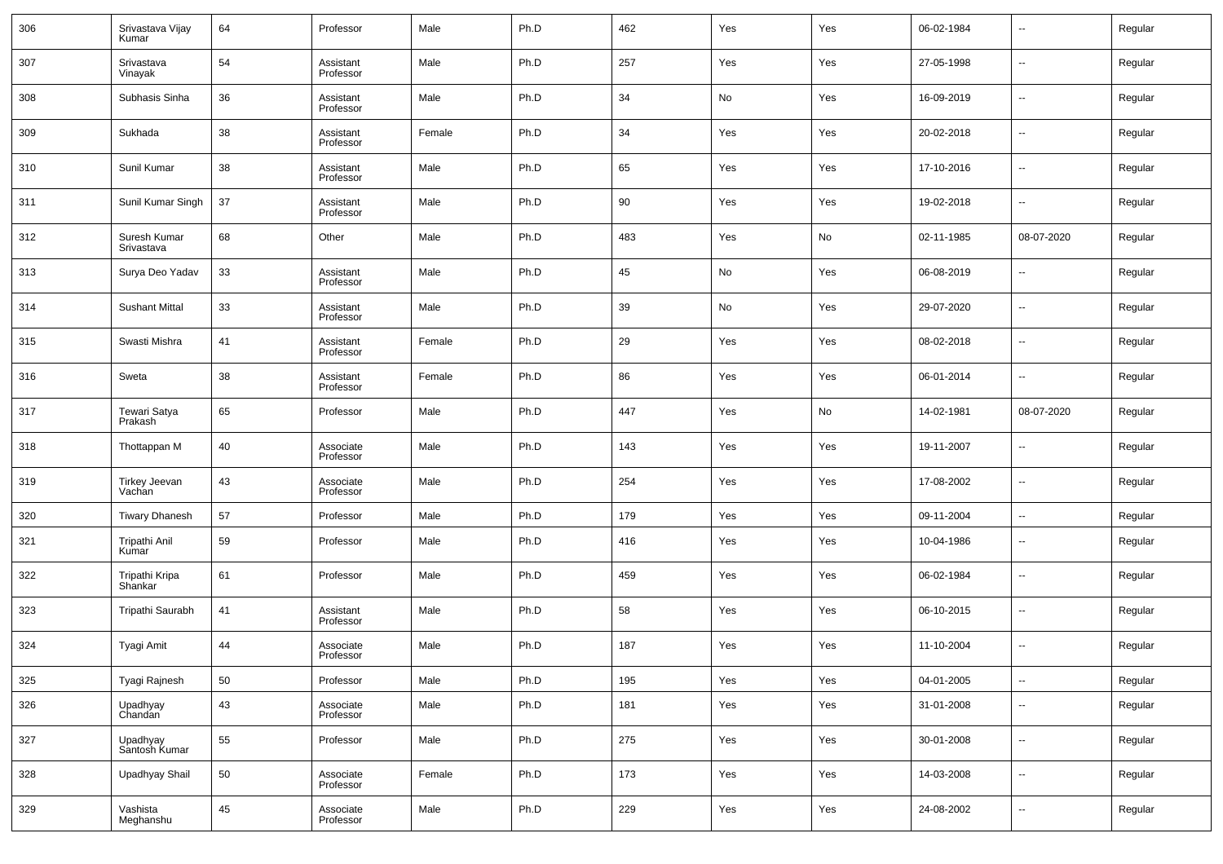| 306 | Srivastava Vijay<br>Kumar  | 64 | Professor              | Male   | Ph.D | 462 | Yes | Yes | 06-02-1984 | $\overline{\phantom{a}}$ | Regular |
|-----|----------------------------|----|------------------------|--------|------|-----|-----|-----|------------|--------------------------|---------|
| 307 | Srivastava<br>Vinayak      | 54 | Assistant<br>Professor | Male   | Ph.D | 257 | Yes | Yes | 27-05-1998 | $\overline{\phantom{a}}$ | Regular |
| 308 | Subhasis Sinha             | 36 | Assistant<br>Professor | Male   | Ph.D | 34  | No  | Yes | 16-09-2019 | $\overline{\phantom{a}}$ | Regular |
| 309 | Sukhada                    | 38 | Assistant<br>Professor | Female | Ph.D | 34  | Yes | Yes | 20-02-2018 | $\overline{\phantom{a}}$ | Regular |
| 310 | Sunil Kumar                | 38 | Assistant<br>Professor | Male   | Ph.D | 65  | Yes | Yes | 17-10-2016 | $\overline{\phantom{a}}$ | Regular |
| 311 | Sunil Kumar Singh          | 37 | Assistant<br>Professor | Male   | Ph.D | 90  | Yes | Yes | 19-02-2018 | $\overline{\phantom{a}}$ | Regular |
| 312 | Suresh Kumar<br>Srivastava | 68 | Other                  | Male   | Ph.D | 483 | Yes | No  | 02-11-1985 | 08-07-2020               | Regular |
| 313 | Surya Deo Yadav            | 33 | Assistant<br>Professor | Male   | Ph.D | 45  | No  | Yes | 06-08-2019 | $\overline{\phantom{a}}$ | Regular |
| 314 | <b>Sushant Mittal</b>      | 33 | Assistant<br>Professor | Male   | Ph.D | 39  | No  | Yes | 29-07-2020 | $\overline{\phantom{a}}$ | Regular |
| 315 | Swasti Mishra              | 41 | Assistant<br>Professor | Female | Ph.D | 29  | Yes | Yes | 08-02-2018 | $\overline{\phantom{a}}$ | Regular |
| 316 | Sweta                      | 38 | Assistant<br>Professor | Female | Ph.D | 86  | Yes | Yes | 06-01-2014 | $\overline{\phantom{a}}$ | Regular |
| 317 | Tewari Satya<br>Prakash    | 65 | Professor              | Male   | Ph.D | 447 | Yes | No  | 14-02-1981 | 08-07-2020               | Regular |
| 318 | Thottappan M               | 40 | Associate<br>Professor | Male   | Ph.D | 143 | Yes | Yes | 19-11-2007 | $\overline{\phantom{a}}$ | Regular |
| 319 | Tirkey Jeevan<br>Vachan    | 43 | Associate<br>Professor | Male   | Ph.D | 254 | Yes | Yes | 17-08-2002 | $\overline{\phantom{a}}$ | Regular |
| 320 | <b>Tiwary Dhanesh</b>      | 57 | Professor              | Male   | Ph.D | 179 | Yes | Yes | 09-11-2004 | $\overline{\phantom{a}}$ | Regular |
| 321 | Tripathi Anil<br>Kumar     | 59 | Professor              | Male   | Ph.D | 416 | Yes | Yes | 10-04-1986 | $\overline{\phantom{a}}$ | Regular |
| 322 | Tripathi Kripa<br>Shankar  | 61 | Professor              | Male   | Ph.D | 459 | Yes | Yes | 06-02-1984 | $\overline{\phantom{a}}$ | Regular |
| 323 | Tripathi Saurabh           | 41 | Assistant<br>Professor | Male   | Ph.D | 58  | Yes | Yes | 06-10-2015 | $\overline{\phantom{a}}$ | Regular |
| 324 | Tyagi Amit                 | 44 | Associate<br>Professor | Male   | Ph.D | 187 | Yes | Yes | 11-10-2004 | $\overline{\phantom{a}}$ | Regular |
| 325 | Tyagi Rajnesh              | 50 | Professor              | Male   | Ph.D | 195 | Yes | Yes | 04-01-2005 | $\overline{\phantom{a}}$ | Regular |
| 326 | Upadhyay<br>Chandan        | 43 | Associate<br>Professor | Male   | Ph.D | 181 | Yes | Yes | 31-01-2008 | $\overline{\phantom{a}}$ | Regular |
| 327 | Upadhyay<br>Santosh Kumar  | 55 | Professor              | Male   | Ph.D | 275 | Yes | Yes | 30-01-2008 | $\overline{\phantom{a}}$ | Regular |
| 328 | <b>Upadhyay Shail</b>      | 50 | Associate<br>Professor | Female | Ph.D | 173 | Yes | Yes | 14-03-2008 | $\overline{\phantom{a}}$ | Regular |
| 329 | Vashista<br>Meghanshu      | 45 | Associate<br>Professor | Male   | Ph.D | 229 | Yes | Yes | 24-08-2002 | ۰.                       | Regular |